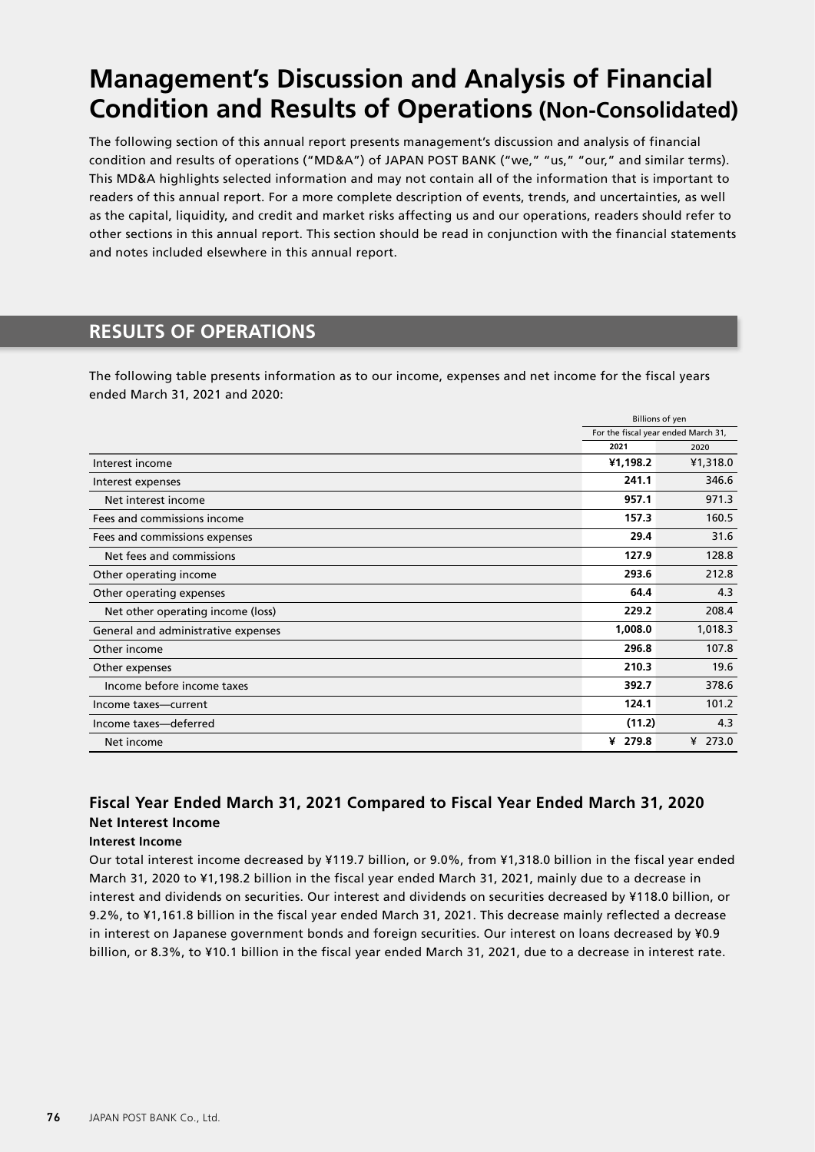# **Management's Discussion and Analysis of Financial Condition and Results of Operations (Non-Consolidated)**

The following section of this annual report presents management's discussion and analysis of financial condition and results of operations ("MD&A") of JAPAN POST BANK ("we," "us," "our," and similar terms). This MD&A highlights selected information and may not contain all of the information that is important to readers of this annual report. For a more complete description of events, trends, and uncertainties, as well as the capital, liquidity, and credit and market risks affecting us and our operations, readers should refer to other sections in this annual report. This section should be read in conjunction with the financial statements and notes included elsewhere in this annual report.

# **RESULTS OF OPERATIONS**

The following table presents information as to our income, expenses and net income for the fiscal years ended March 31, 2021 and 2020:

|                                     |                                     | <b>Billions of yen</b> |  |
|-------------------------------------|-------------------------------------|------------------------|--|
|                                     | For the fiscal year ended March 31, |                        |  |
|                                     | 2021                                | 2020                   |  |
| Interest income                     | ¥1,198.2                            | ¥1,318.0               |  |
| Interest expenses                   | 241.1                               | 346.6                  |  |
| Net interest income                 | 957.1                               | 971.3                  |  |
| Fees and commissions income         | 157.3                               | 160.5                  |  |
| Fees and commissions expenses       | 29.4                                | 31.6                   |  |
| Net fees and commissions            | 127.9                               | 128.8                  |  |
| Other operating income              | 293.6                               | 212.8                  |  |
| Other operating expenses            | 64.4                                | 4.3                    |  |
| Net other operating income (loss)   | 229.2                               | 208.4                  |  |
| General and administrative expenses | 1,008.0                             | 1,018.3                |  |
| Other income                        | 296.8                               | 107.8                  |  |
| Other expenses                      | 210.3                               | 19.6                   |  |
| Income before income taxes          | 392.7                               | 378.6                  |  |
| Income taxes-current                | 124.1                               | 101.2                  |  |
| Income taxes-deferred               | (11.2)                              | 4.3                    |  |
| Net income                          | ¥ 279.8                             | ¥ 273.0                |  |

# **Fiscal Year Ended March 31, 2021 Compared to Fiscal Year Ended March 31, 2020 Net Interest Income**

## **Interest Income**

Our total interest income decreased by ¥119.7 billion, or 9.0%, from ¥1,318.0 billion in the fiscal year ended March 31, 2020 to ¥1,198.2 billion in the fiscal year ended March 31, 2021, mainly due to a decrease in interest and dividends on securities. Our interest and dividends on securities decreased by ¥118.0 billion, or 9.2%, to ¥1,161.8 billion in the fiscal year ended March 31, 2021. This decrease mainly reflected a decrease in interest on Japanese government bonds and foreign securities. Our interest on loans decreased by ¥0.9 billion, or 8.3%, to ¥10.1 billion in the fiscal year ended March 31, 2021, due to a decrease in interest rate.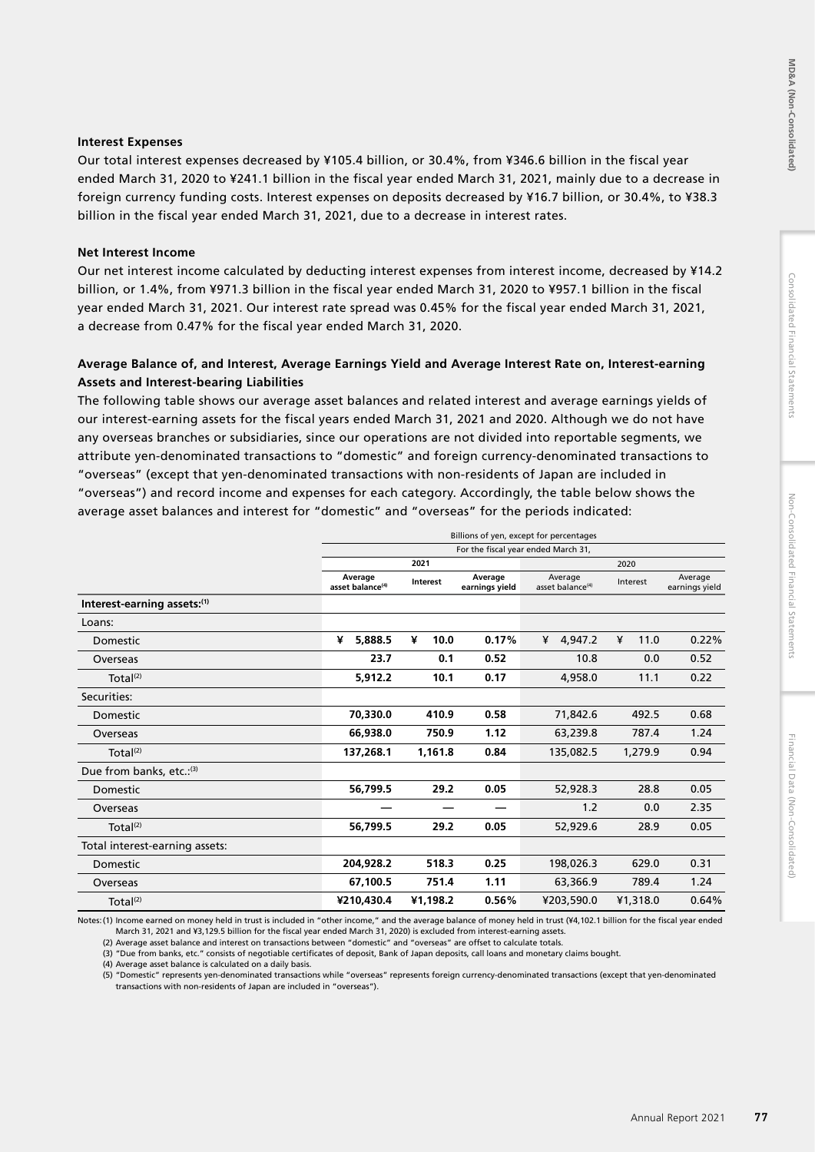# Consolidated Financial Statements

# **Interest Expenses**

Our total interest expenses decreased by ¥105.4 billion, or 30.4%, from ¥346.6 billion in the fiscal year ended March 31, 2020 to ¥241.1 billion in the fiscal year ended March 31, 2021, mainly due to a decrease in foreign currency funding costs. Interest expenses on deposits decreased by ¥16.7 billion, or 30.4%, to ¥38.3 billion in the fiscal year ended March 31, 2021, due to a decrease in interest rates.

# **Net Interest Income**

Our net interest income calculated by deducting interest expenses from interest income, decreased by ¥14.2 billion, or 1.4%, from ¥971.3 billion in the fiscal year ended March 31, 2020 to ¥957.1 billion in the fiscal year ended March 31, 2021. Our interest rate spread was 0.45% for the fiscal year ended March 31, 2021, a decrease from 0.47% for the fiscal year ended March 31, 2020.

# **Average Balance of, and Interest, Average Earnings Yield and Average Interest Rate on, Interest-earning Assets and Interest-bearing Liabilities**

The following table shows our average asset balances and related interest and average earnings yields of our interest-earning assets for the fiscal years ended March 31, 2021 and 2020. Although we do not have any overseas branches or subsidiaries, since our operations are not divided into reportable segments, we attribute yen-denominated transactions to "domestic" and foreign currency-denominated transactions to "overseas" (except that yen-denominated transactions with non-residents of Japan are included in "overseas") and record income and expenses for each category. Accordingly, the table below shows the average asset balances and interest for "domestic" and "overseas" for the periods indicated:

|                                | Billions of yen, except for percentages |                                     |                           |                                         |           |                           |
|--------------------------------|-----------------------------------------|-------------------------------------|---------------------------|-----------------------------------------|-----------|---------------------------|
|                                |                                         | For the fiscal year ended March 31, |                           |                                         |           |                           |
|                                |                                         | 2021                                |                           |                                         | 2020      |                           |
|                                | Average<br>asset balance <sup>(4)</sup> | Interest                            | Average<br>earnings yield | Average<br>asset balance <sup>(4)</sup> | Interest  | Average<br>earnings yield |
| Interest-earning assets:(1)    |                                         |                                     |                           |                                         |           |                           |
| Loans:                         |                                         |                                     |                           |                                         |           |                           |
| Domestic                       | ¥<br>5,888.5                            | ¥<br>10.0                           | 0.17%                     | 4,947.2<br>¥                            | 11.0<br>¥ | 0.22%                     |
| Overseas                       | 23.7                                    | 0.1                                 | 0.52                      | 10.8                                    | 0.0       | 0.52                      |
| Total <sup>(2)</sup>           | 5,912.2                                 | 10.1                                | 0.17                      | 4,958.0                                 | 11.1      | 0.22                      |
| Securities:                    |                                         |                                     |                           |                                         |           |                           |
| Domestic                       | 70.330.0                                | 410.9                               | 0.58                      | 71.842.6                                | 492.5     | 0.68                      |
| Overseas                       | 66,938.0                                | 750.9                               | 1.12                      | 63,239.8                                | 787.4     | 1.24                      |
| Total <sup>(2)</sup>           | 137,268.1                               | 1,161.8                             | 0.84                      | 135,082.5                               | 1,279.9   | 0.94                      |
| Due from banks, etc.: (3)      |                                         |                                     |                           |                                         |           |                           |
| Domestic                       | 56,799.5                                | 29.2                                | 0.05                      | 52,928.3                                | 28.8      | 0.05                      |
| Overseas                       |                                         |                                     |                           | 1.2                                     | 0.0       | 2.35                      |
| Total <sup>(2)</sup>           | 56,799.5                                | 29.2                                | 0.05                      | 52,929.6                                | 28.9      | 0.05                      |
| Total interest-earning assets: |                                         |                                     |                           |                                         |           |                           |
| Domestic                       | 204,928.2                               | 518.3                               | 0.25                      | 198,026.3                               | 629.0     | 0.31                      |
| Overseas                       | 67,100.5                                | 751.4                               | 1.11                      | 63,366.9                                | 789.4     | 1.24                      |
| Total <sup>(2)</sup>           | ¥210,430.4                              | ¥1,198.2                            | 0.56%                     | ¥203,590.0                              | ¥1,318.0  | 0.64%                     |

Notes:(1) Income earned on money held in trust is included in "other income," and the average balance of money held in trust (¥4,102.1 billion for the fiscal year ended March 31, 2021 and ¥3,129.5 billion for the fiscal year ended March 31, 2020) is excluded from interest-earning assets.

(2) Average asset balance and interest on transactions between "domestic" and "overseas" are offset to calculate totals.

(3) "Due from banks, etc." consists of negotiable certificates of deposit, Bank of Japan deposits, call loans and monetary claims bought.

(4) Average asset balance is calculated on a daily basis.

(5) "Domestic" represents yen-denominated transactions while "overseas" represents foreign currency-denominated transactions (except that yen-denominated transactions with non-residents of Japan are included in "overseas").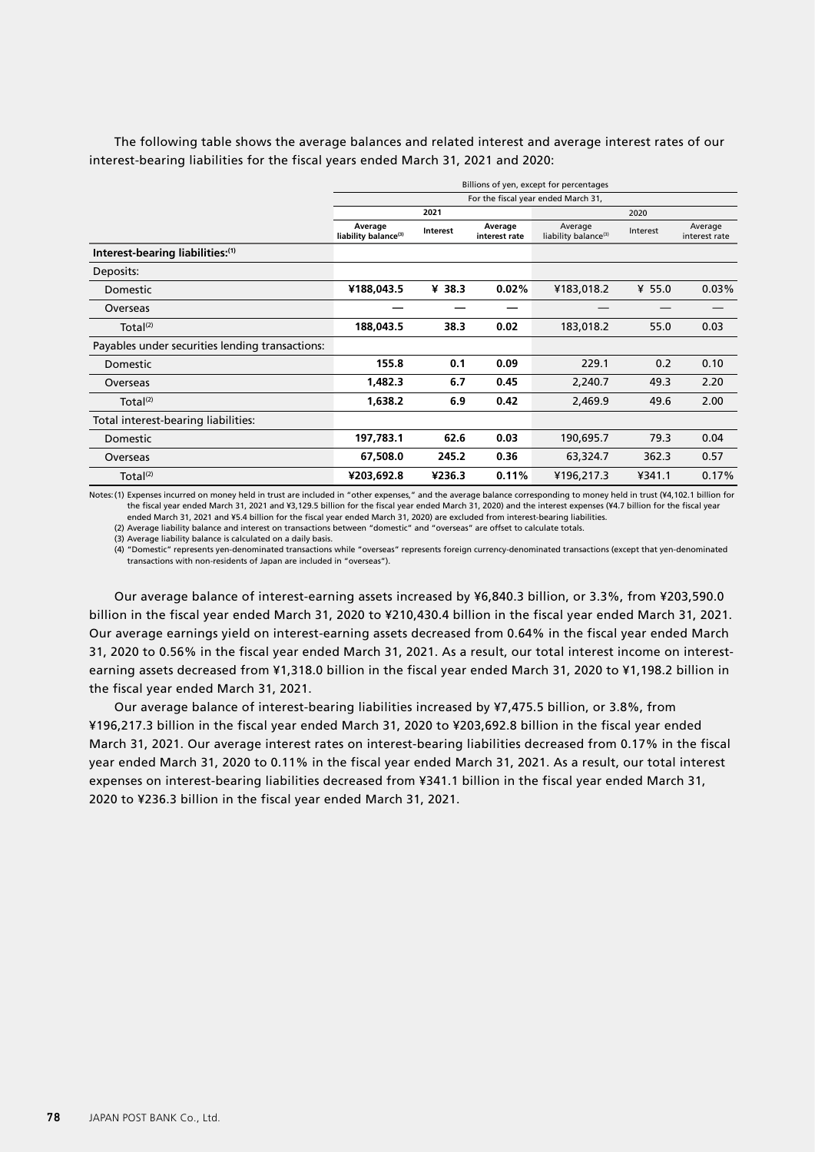The following table shows the average balances and related interest and average interest rates of our interest-bearing liabilities for the fiscal years ended March 31, 2021 and 2020:

|                                                 | Billions of yen, except for percentages     |                                     |                          |                                             |          |                          |  |
|-------------------------------------------------|---------------------------------------------|-------------------------------------|--------------------------|---------------------------------------------|----------|--------------------------|--|
|                                                 |                                             | For the fiscal year ended March 31, |                          |                                             |          |                          |  |
|                                                 |                                             | 2021                                |                          |                                             | 2020     |                          |  |
|                                                 | Average<br>liability balance <sup>(3)</sup> | Interest                            | Average<br>interest rate | Average<br>liability balance <sup>(3)</sup> | Interest | Average<br>interest rate |  |
| Interest-bearing liabilities:(1)                |                                             |                                     |                          |                                             |          |                          |  |
| Deposits:                                       |                                             |                                     |                          |                                             |          |                          |  |
| Domestic                                        | ¥188,043.5                                  | ¥ 38.3                              | 0.02%                    | ¥183,018.2                                  | ¥ 55.0   | 0.03%                    |  |
| Overseas                                        |                                             |                                     |                          |                                             |          |                          |  |
| Total <sup>(2)</sup>                            | 188,043.5                                   | 38.3                                | 0.02                     | 183,018.2                                   | 55.0     | 0.03                     |  |
| Payables under securities lending transactions: |                                             |                                     |                          |                                             |          |                          |  |
| Domestic                                        | 155.8                                       | 0.1                                 | 0.09                     | 229.1                                       | 0.2      | 0.10                     |  |
| Overseas                                        | 1,482.3                                     | 6.7                                 | 0.45                     | 2,240.7                                     | 49.3     | 2.20                     |  |
| Total <sup>(2)</sup>                            | 1,638.2                                     | 6.9                                 | 0.42                     | 2,469.9                                     | 49.6     | 2.00                     |  |
| Total interest-bearing liabilities:             |                                             |                                     |                          |                                             |          |                          |  |
| Domestic                                        | 197,783.1                                   | 62.6                                | 0.03                     | 190,695.7                                   | 79.3     | 0.04                     |  |
| Overseas                                        | 67,508.0                                    | 245.2                               | 0.36                     | 63,324.7                                    | 362.3    | 0.57                     |  |
| Total <sup>(2)</sup>                            | ¥203,692.8                                  | ¥236.3                              | 0.11%                    | ¥196,217.3                                  | ¥341.1   | 0.17%                    |  |

Notes:(1) Expenses incurred on money held in trust are included in "other expenses," and the average balance corresponding to money held in trust (¥4,102.1 billion for the fiscal year ended March 31, 2021 and ¥3,129.5 billion for the fiscal year ended March 31, 2020) and the interest expenses (¥4.7 billion for the fiscal year ended March 31, 2021 and ¥5.4 billion for the fiscal year ended March 31, 2020) are excluded from interest-bearing liabilities.

(2) Average liability balance and interest on transactions between "domestic" and "overseas" are offset to calculate totals.

(3) Average liability balance is calculated on a daily basis.

(4) "Domestic" represents yen-denominated transactions while "overseas" represents foreign currency-denominated transactions (except that yen-denominated transactions with non-residents of Japan are included in "overseas").

Our average balance of interest-earning assets increased by ¥6,840.3 billion, or 3.3%, from ¥203,590.0 billion in the fiscal year ended March 31, 2020 to ¥210,430.4 billion in the fiscal year ended March 31, 2021. Our average earnings yield on interest-earning assets decreased from 0.64% in the fiscal year ended March 31, 2020 to 0.56% in the fiscal year ended March 31, 2021. As a result, our total interest income on interestearning assets decreased from ¥1,318.0 billion in the fiscal year ended March 31, 2020 to ¥1,198.2 billion in the fiscal year ended March 31, 2021.

Our average balance of interest-bearing liabilities increased by ¥7,475.5 billion, or 3.8%, from ¥196,217.3 billion in the fiscal year ended March 31, 2020 to ¥203,692.8 billion in the fiscal year ended March 31, 2021. Our average interest rates on interest-bearing liabilities decreased from 0.17% in the fiscal year ended March 31, 2020 to 0.11% in the fiscal year ended March 31, 2021. As a result, our total interest expenses on interest-bearing liabilities decreased from ¥341.1 billion in the fiscal year ended March 31, 2020 to ¥236.3 billion in the fiscal year ended March 31, 2021.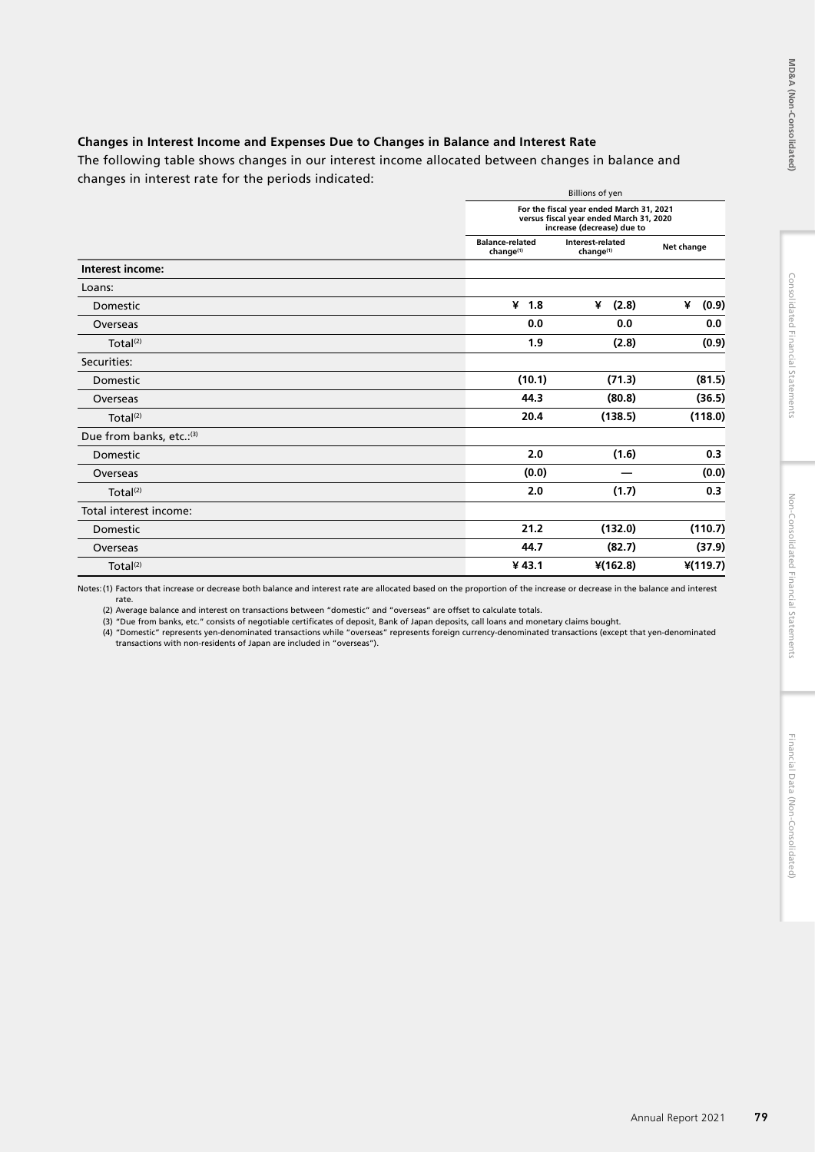# **Changes in Interest Income and Expenses Due to Changes in Balance and Interest Rate**

The following table shows changes in our interest income allocated between changes in balance and changes in interest rate for the periods indicated:

|                           |                                                 | <b>Billions of yen</b><br>For the fiscal year ended March 31, 2021<br>versus fiscal year ended March 31, 2020<br>increase (decrease) due to |            |  |
|---------------------------|-------------------------------------------------|---------------------------------------------------------------------------------------------------------------------------------------------|------------|--|
|                           |                                                 |                                                                                                                                             |            |  |
|                           | <b>Balance-related</b><br>change <sup>(1)</sup> | Interest-related<br>change <sup>(1)</sup>                                                                                                   | Net change |  |
| Interest income:          |                                                 |                                                                                                                                             |            |  |
| Loans:                    |                                                 |                                                                                                                                             |            |  |
| Domestic                  | 41.8                                            | (2.8)<br>¥                                                                                                                                  | (0.9)<br>¥ |  |
| Overseas                  | 0.0                                             | 0.0                                                                                                                                         | 0.0        |  |
| Total <sup>(2)</sup>      | 1.9                                             | (2.8)                                                                                                                                       | (0.9)      |  |
| Securities:               |                                                 |                                                                                                                                             |            |  |
| Domestic                  | (10.1)                                          | (71.3)                                                                                                                                      | (81.5)     |  |
| Overseas                  | 44.3                                            | (80.8)                                                                                                                                      | (36.5)     |  |
| Total <sup>(2)</sup>      | 20.4                                            | (138.5)                                                                                                                                     | (118.0)    |  |
| Due from banks, etc.: (3) |                                                 |                                                                                                                                             |            |  |
| Domestic                  | 2.0                                             | (1.6)                                                                                                                                       | 0.3        |  |
| Overseas                  | (0.0)                                           |                                                                                                                                             | (0.0)      |  |
| Total $(2)$               | 2.0                                             | (1.7)                                                                                                                                       | 0.3        |  |
| Total interest income:    |                                                 |                                                                                                                                             |            |  |
| Domestic                  | 21.2                                            | (132.0)                                                                                                                                     | (110.7)    |  |
| Overseas                  | 44.7                                            | (82.7)                                                                                                                                      | (37.9)     |  |
| Total $(2)$               | ¥43.1                                           | $*(162.8)$                                                                                                                                  | $*(119.7)$ |  |

Notes:(1) Factors that increase or decrease both balance and interest rate are allocated based on the proportion of the increase or decrease in the balance and interest rate.

(2) Average balance and interest on transactions between "domestic" and "overseas" are offset to calculate totals.

(3) "Due from banks, etc." consists of negotiable certificates of deposit, Bank of Japan deposits, call Ioans and monetary claims bought.<br>(4) "Domestic" represents yen-denominated transactions while "overseas" represents f transactions with non-residents of Japan are included in "overseas").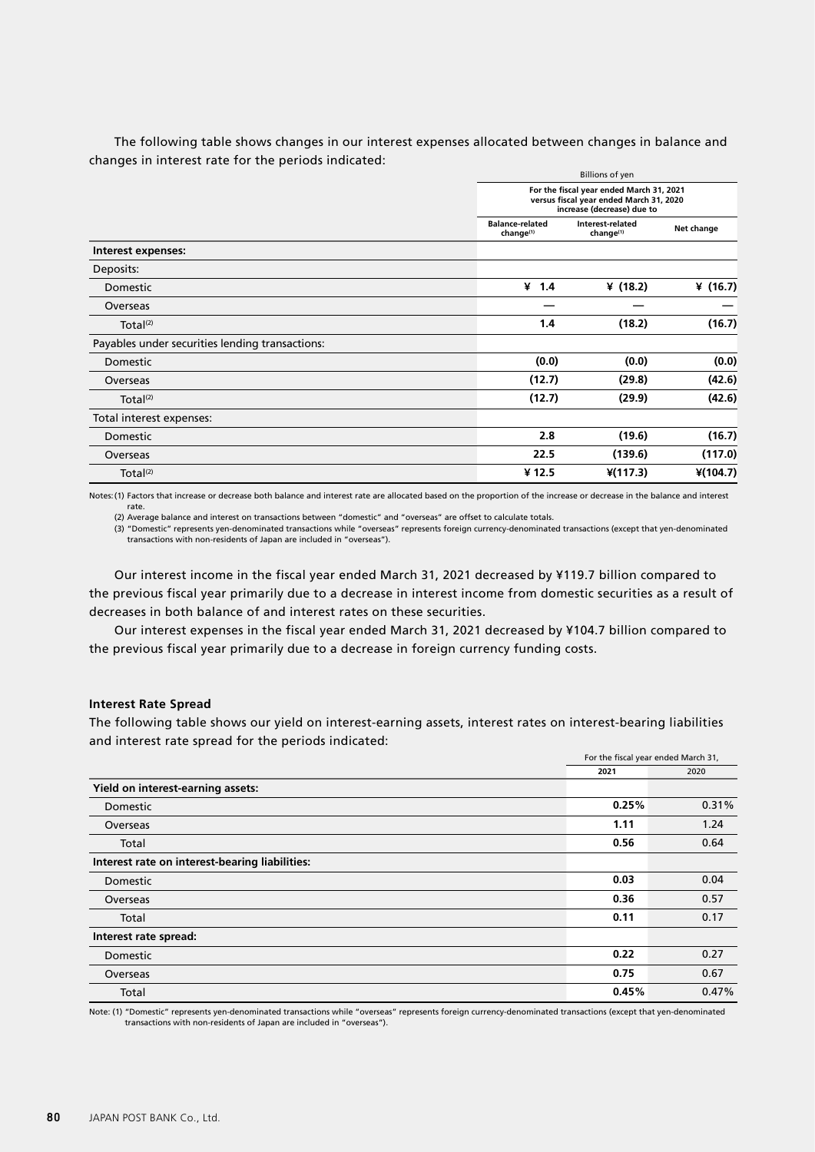The following table shows changes in our interest expenses allocated between changes in balance and changes in interest rate for the periods indicated:

|                                                 |                                          | <b>Billions of yen</b><br>For the fiscal year ended March 31, 2021<br>versus fiscal year ended March 31, 2020<br>increase (decrease) due to |            |  |
|-------------------------------------------------|------------------------------------------|---------------------------------------------------------------------------------------------------------------------------------------------|------------|--|
|                                                 |                                          |                                                                                                                                             |            |  |
|                                                 | <b>Balance-related</b><br>$change^{(1)}$ | Interest-related<br>change <sup>(1)</sup>                                                                                                   | Net change |  |
| Interest expenses:                              |                                          |                                                                                                                                             |            |  |
| Deposits:                                       |                                          |                                                                                                                                             |            |  |
| Domestic                                        | 41.4                                     | ¥ $(18.2)$                                                                                                                                  | ¥ $(16.7)$ |  |
| Overseas                                        |                                          |                                                                                                                                             |            |  |
| Total <sup>(2)</sup>                            | 1.4                                      | (18.2)                                                                                                                                      | (16.7)     |  |
| Payables under securities lending transactions: |                                          |                                                                                                                                             |            |  |
| Domestic                                        | (0.0)                                    | (0.0)                                                                                                                                       | (0.0)      |  |
| Overseas                                        | (12.7)                                   | (29.8)                                                                                                                                      | (42.6)     |  |
| Total <sup>(2)</sup>                            | (12.7)                                   | (29.9)                                                                                                                                      | (42.6)     |  |
| Total interest expenses:                        |                                          |                                                                                                                                             |            |  |
| Domestic                                        | 2.8                                      | (19.6)                                                                                                                                      | (16.7)     |  |
| Overseas                                        | 22.5                                     | (139.6)                                                                                                                                     | (117.0)    |  |
| Total <sup>(2)</sup>                            | ¥ 12.5                                   | $*(117.3)$                                                                                                                                  | $*(104.7)$ |  |

Notes:(1) Factors that increase or decrease both balance and interest rate are allocated based on the proportion of the increase or decrease in the balance and interest rate.

(2) Average balance and interest on transactions between "domestic" and "overseas" are offset to calculate totals.

(3) "Domestic" represents yen-denominated transactions while "overseas" represents foreign currency-denominated transactions (except that yen-denominated transactions with non-residents of Japan are included in "overseas").

Our interest income in the fiscal year ended March 31, 2021 decreased by ¥119.7 billion compared to the previous fiscal year primarily due to a decrease in interest income from domestic securities as a result of decreases in both balance of and interest rates on these securities.

Our interest expenses in the fiscal year ended March 31, 2021 decreased by ¥104.7 billion compared to the previous fiscal year primarily due to a decrease in foreign currency funding costs.

### **Interest Rate Spread**

The following table shows our yield on interest-earning assets, interest rates on interest-bearing liabilities and interest rate spread for the periods indicated:

|                                                | For the fiscal year ended March 31, |       |  |
|------------------------------------------------|-------------------------------------|-------|--|
|                                                | 2021                                | 2020  |  |
| Yield on interest-earning assets:              |                                     |       |  |
| Domestic                                       | 0.25%                               | 0.31% |  |
| Overseas                                       | 1.11                                | 1.24  |  |
| Total                                          | 0.56                                | 0.64  |  |
| Interest rate on interest-bearing liabilities: |                                     |       |  |
| Domestic                                       | 0.03                                | 0.04  |  |
| Overseas                                       | 0.36                                | 0.57  |  |
| Total                                          | 0.11                                | 0.17  |  |
| Interest rate spread:                          |                                     |       |  |
| Domestic                                       | 0.22                                | 0.27  |  |
| Overseas                                       | 0.75                                | 0.67  |  |
| Total                                          | 0.45%                               | 0.47% |  |

Note: (1) "Domestic" represents yen-denominated transactions while "overseas" represents foreign currency-denominated transactions (except that yen-denominated transactions with non-residents of Japan are included in "overseas").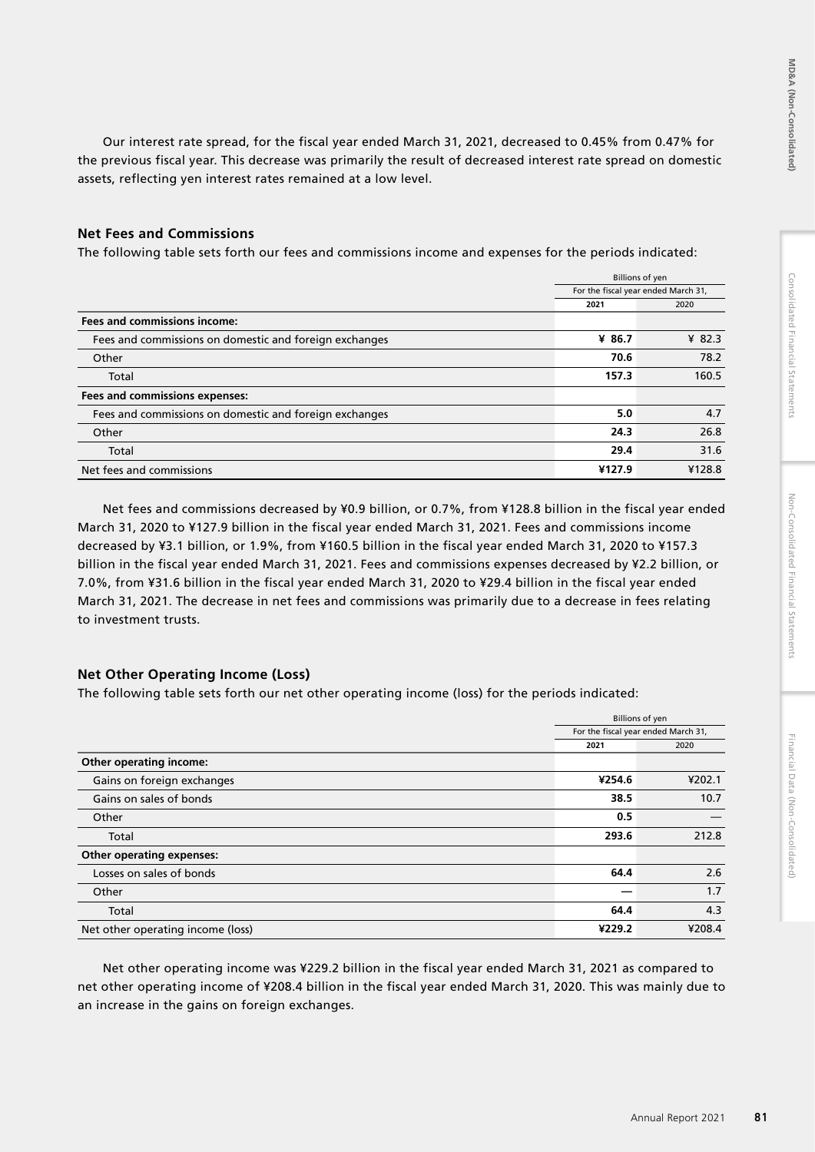Our interest rate spread, for the fiscal year ended March 31, 2021, decreased to 0.45% from 0.47% for the previous fiscal year. This decrease was primarily the result of decreased interest rate spread on domestic assets, reflecting yen interest rates remained at a low level.

## **Net Fees and Commissions**

The following table sets forth our fees and commissions income and expenses for the periods indicated:

|                                                        |        | <b>Billions of yen</b>              |  |
|--------------------------------------------------------|--------|-------------------------------------|--|
|                                                        |        | For the fiscal year ended March 31, |  |
|                                                        | 2021   | 2020                                |  |
| <b>Fees and commissions income:</b>                    |        |                                     |  |
| Fees and commissions on domestic and foreign exchanges | ¥ 86.7 | ¥ 82.3                              |  |
| Other                                                  | 70.6   | 78.2                                |  |
| Total                                                  | 157.3  | 160.5                               |  |
| Fees and commissions expenses:                         |        |                                     |  |
| Fees and commissions on domestic and foreign exchanges | 5.0    | 4.7                                 |  |
| Other                                                  | 24.3   | 26.8                                |  |
| Total                                                  | 29.4   | 31.6                                |  |
| Net fees and commissions                               | ¥127.9 | ¥128.8                              |  |

Net fees and commissions decreased by ¥0.9 billion, or 0.7%, from ¥128.8 billion in the fiscal year ended March 31, 2020 to ¥127.9 billion in the fiscal year ended March 31, 2021. Fees and commissions income decreased by ¥3.1 billion, or 1.9%, from ¥160.5 billion in the fiscal year ended March 31, 2020 to ¥157.3 billion in the fiscal year ended March 31, 2021. Fees and commissions expenses decreased by ¥2.2 billion, or 7.0%, from ¥31.6 billion in the fiscal year ended March 31, 2020 to ¥29.4 billion in the fiscal year ended March 31, 2021. The decrease in net fees and commissions was primarily due to a decrease in fees relating to investment trusts.

# **Net Other Operating Income (Loss)**

The following table sets forth our net other operating income (loss) for the periods indicated:

|                                   | <b>Billions of yen</b> |                                     |
|-----------------------------------|------------------------|-------------------------------------|
|                                   |                        | For the fiscal year ended March 31, |
|                                   | 2021                   | 2020                                |
| Other operating income:           |                        |                                     |
| Gains on foreign exchanges        | ¥254.6                 | ¥202.1                              |
| Gains on sales of bonds           | 38.5                   | 10.7                                |
| Other                             | 0.5                    |                                     |
| Total                             | 293.6                  | 212.8                               |
| <b>Other operating expenses:</b>  |                        |                                     |
| Losses on sales of bonds          | 64.4                   | 2.6                                 |
| Other                             |                        | 1.7                                 |
| Total                             | 64.4                   | 4.3                                 |
| Net other operating income (loss) | ¥229.2                 | ¥208.4                              |

Net other operating income was ¥229.2 billion in the fiscal year ended March 31, 2021 as compared to net other operating income of ¥208.4 billion in the fiscal year ended March 31, 2020. This was mainly due to an increase in the gains on foreign exchanges.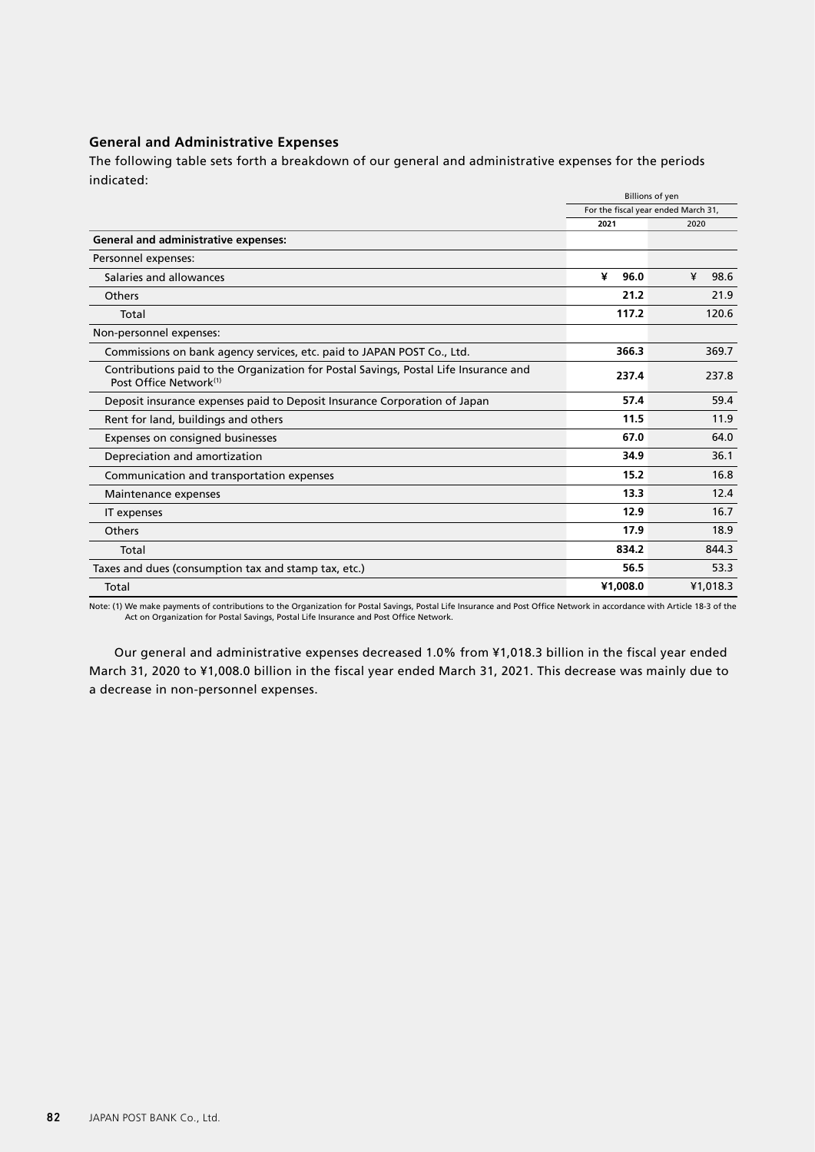# **General and Administrative Expenses**

The following table sets forth a breakdown of our general and administrative expenses for the periods indicated:

|                                                                                                                            | <b>Billions of yen</b>              |           |
|----------------------------------------------------------------------------------------------------------------------------|-------------------------------------|-----------|
|                                                                                                                            | For the fiscal year ended March 31, |           |
|                                                                                                                            | 2021                                | 2020      |
| <b>General and administrative expenses:</b>                                                                                |                                     |           |
| Personnel expenses:                                                                                                        |                                     |           |
| Salaries and allowances                                                                                                    | ¥<br>96.0                           | ¥<br>98.6 |
| Others                                                                                                                     | 21.2                                | 21.9      |
| Total                                                                                                                      | 117.2                               | 120.6     |
| Non-personnel expenses:                                                                                                    |                                     |           |
| Commissions on bank agency services, etc. paid to JAPAN POST Co., Ltd.                                                     | 366.3                               | 369.7     |
| Contributions paid to the Organization for Postal Savings, Postal Life Insurance and<br>Post Office Network <sup>(1)</sup> | 237.4                               | 237.8     |
| Deposit insurance expenses paid to Deposit Insurance Corporation of Japan                                                  | 57.4                                | 59.4      |
| Rent for land, buildings and others                                                                                        | 11.5                                | 11.9      |
| Expenses on consigned businesses                                                                                           | 67.0                                | 64.0      |
| Depreciation and amortization                                                                                              | 34.9                                | 36.1      |
| Communication and transportation expenses                                                                                  | 15.2                                | 16.8      |
| Maintenance expenses                                                                                                       | 13.3                                | 12.4      |
| IT expenses                                                                                                                | 12.9                                | 16.7      |
| Others                                                                                                                     | 17.9                                | 18.9      |
| Total                                                                                                                      | 834.2                               | 844.3     |
| Taxes and dues (consumption tax and stamp tax, etc.)                                                                       | 56.5                                | 53.3      |
| Total                                                                                                                      | ¥1.008.0                            | ¥1.018.3  |

Note: (1) We make payments of contributions to the Organization for Postal Savings, Postal Life Insurance and Post Office Network in accordance with Article 18-3 of the Act on Organization for Postal Savings, Postal Life Insurance and Post Office Network.

Our general and administrative expenses decreased 1.0% from ¥1,018.3 billion in the fiscal year ended March 31, 2020 to ¥1,008.0 billion in the fiscal year ended March 31, 2021. This decrease was mainly due to a decrease in non-personnel expenses.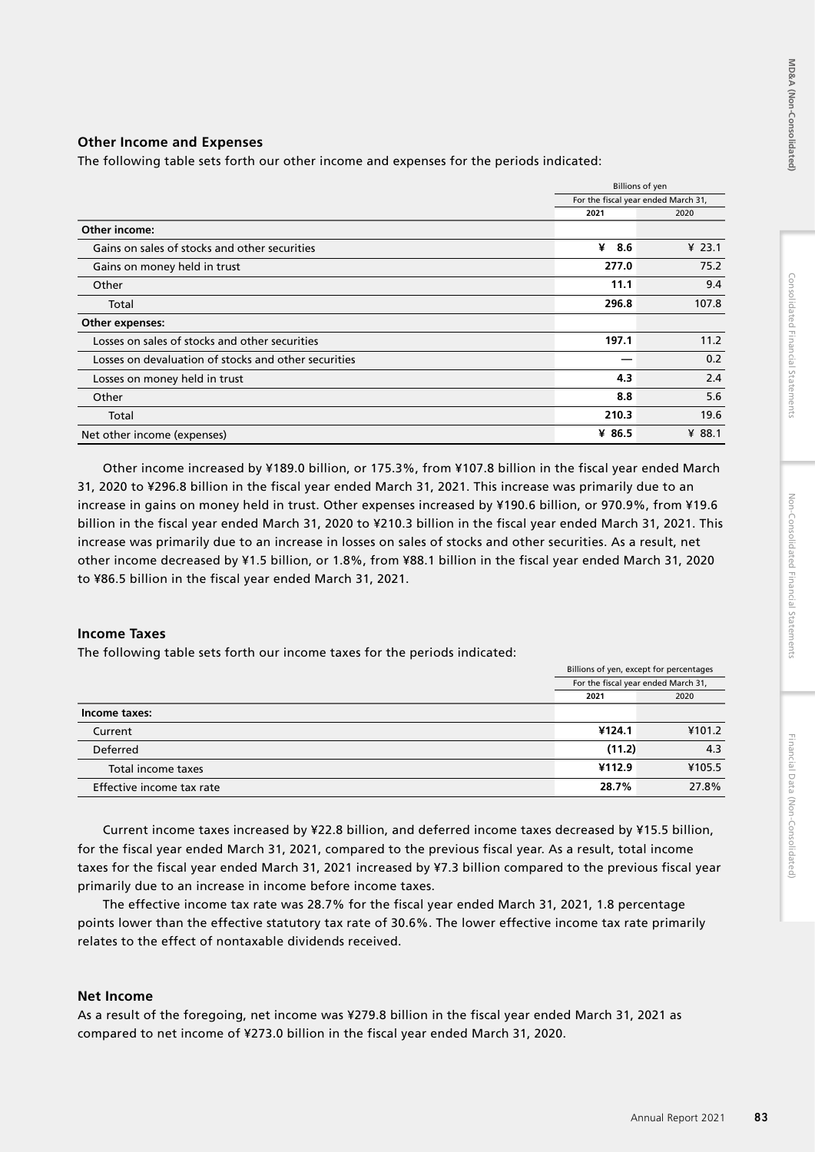# Consolidated Financial Statements

# **Other Income and Expenses**

The following table sets forth our other income and expenses for the periods indicated:

|                                                      |          | <b>Billions of yen</b>              |  |
|------------------------------------------------------|----------|-------------------------------------|--|
|                                                      |          | For the fiscal year ended March 31, |  |
|                                                      | 2021     | 2020                                |  |
| Other income:                                        |          |                                     |  |
| Gains on sales of stocks and other securities        | ¥<br>8.6 | ¥ $23.1$                            |  |
| Gains on money held in trust                         | 277.0    | 75.2                                |  |
| Other                                                | 11.1     | 9.4                                 |  |
| Total                                                | 296.8    | 107.8                               |  |
| Other expenses:                                      |          |                                     |  |
| Losses on sales of stocks and other securities       | 197.1    | 11.2                                |  |
| Losses on devaluation of stocks and other securities |          | 0.2                                 |  |
| Losses on money held in trust                        | 4.3      | 2.4                                 |  |
| Other                                                | 8.8      | 5.6                                 |  |
| Total                                                | 210.3    | 19.6                                |  |
| Net other income (expenses)                          | ¥ 86.5   | ¥ 88.1                              |  |

Other income increased by ¥189.0 billion, or 175.3%, from ¥107.8 billion in the fiscal year ended March 31, 2020 to ¥296.8 billion in the fiscal year ended March 31, 2021. This increase was primarily due to an increase in gains on money held in trust. Other expenses increased by ¥190.6 billion, or 970.9%, from ¥19.6 billion in the fiscal year ended March 31, 2020 to ¥210.3 billion in the fiscal year ended March 31, 2021. This increase was primarily due to an increase in losses on sales of stocks and other securities. As a result, net other income decreased by ¥1.5 billion, or 1.8%, from ¥88.1 billion in the fiscal year ended March 31, 2020 to ¥86.5 billion in the fiscal year ended March 31, 2021.

# **Income Taxes**

The following table sets forth our income taxes for the periods indicated:

|                           | Billions of yen, except for percentages |                                     |
|---------------------------|-----------------------------------------|-------------------------------------|
|                           |                                         | For the fiscal year ended March 31, |
|                           | 2021                                    | 2020                                |
| Income taxes:             |                                         |                                     |
| Current                   | ¥124.1                                  | ¥101.2                              |
| Deferred                  | (11.2)                                  | 4.3                                 |
| Total income taxes        | ¥112.9                                  | ¥105.5                              |
| Effective income tax rate | 28.7%                                   | 27.8%                               |

Current income taxes increased by ¥22.8 billion, and deferred income taxes decreased by ¥15.5 billion, for the fiscal year ended March 31, 2021, compared to the previous fiscal year. As a result, total income taxes for the fiscal year ended March 31, 2021 increased by ¥7.3 billion compared to the previous fiscal year primarily due to an increase in income before income taxes.

The effective income tax rate was 28.7% for the fiscal year ended March 31, 2021, 1.8 percentage points lower than the effective statutory tax rate of 30.6%. The lower effective income tax rate primarily relates to the effect of nontaxable dividends received.

## **Net Income**

As a result of the foregoing, net income was ¥279.8 billion in the fiscal year ended March 31, 2021 as compared to net income of ¥273.0 billion in the fiscal year ended March 31, 2020.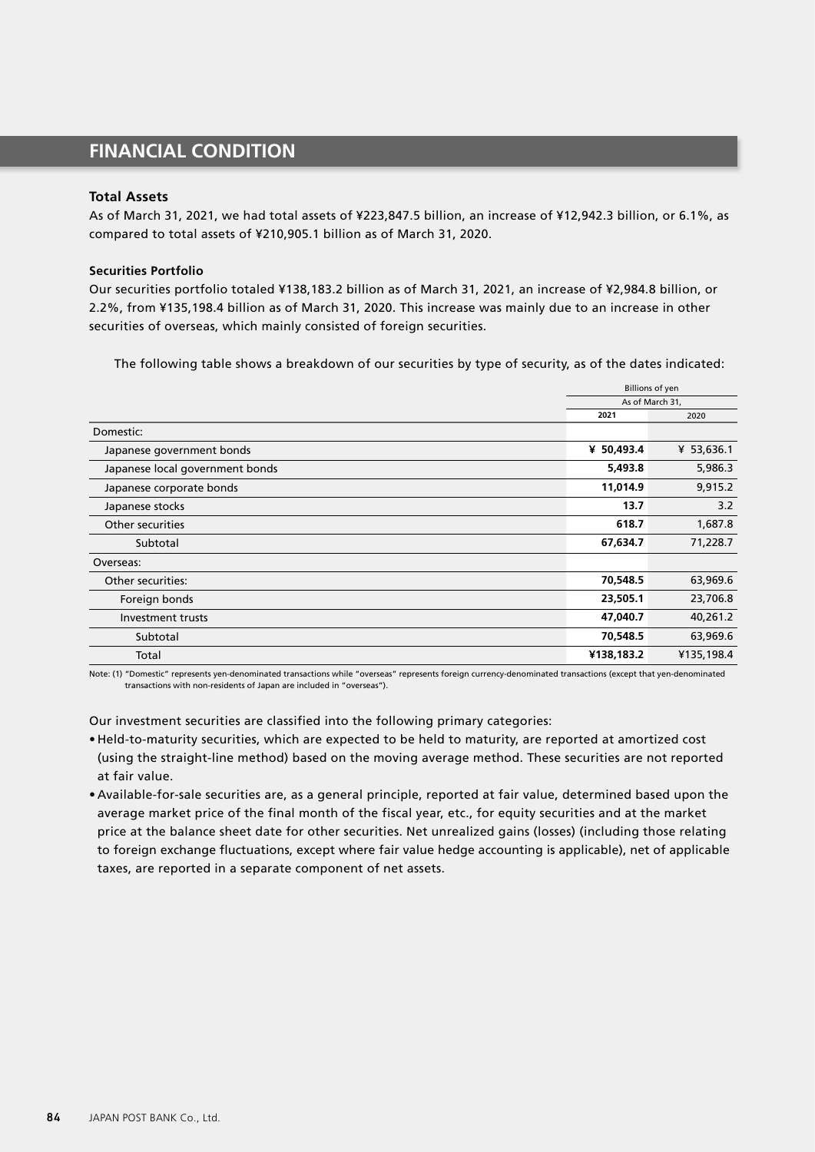# **FINANCIAL CONDITION**

## **Total Assets**

As of March 31, 2021, we had total assets of ¥223,847.5 billion, an increase of ¥12,942.3 billion, or 6.1%, as compared to total assets of ¥210,905.1 billion as of March 31, 2020.

### **Securities Portfolio**

Our securities portfolio totaled ¥138,183.2 billion as of March 31, 2021, an increase of ¥2,984.8 billion, or 2.2%, from ¥135,198.4 billion as of March 31, 2020. This increase was mainly due to an increase in other securities of overseas, which mainly consisted of foreign securities.

The following table shows a breakdown of our securities by type of security, as of the dates indicated:

|                                 | <b>Billions of yen</b> |            |
|---------------------------------|------------------------|------------|
|                                 | As of March 31,        |            |
|                                 | 2021                   | 2020       |
| Domestic:                       |                        |            |
| Japanese government bonds       | ¥ 50,493.4             | ¥ 53,636.1 |
| Japanese local government bonds | 5,493.8                | 5,986.3    |
| Japanese corporate bonds        | 11,014.9               | 9,915.2    |
| Japanese stocks                 | 13.7                   | 3.2        |
| Other securities                | 618.7                  | 1,687.8    |
| Subtotal                        | 67,634.7               | 71,228.7   |
| Overseas:                       |                        |            |
| Other securities:               | 70,548.5               | 63,969.6   |
| Foreign bonds                   | 23,505.1               | 23,706.8   |
| Investment trusts               | 47,040.7               | 40,261.2   |
| Subtotal                        | 70,548.5               | 63,969.6   |
| Total                           | ¥138,183.2             | ¥135,198.4 |

Note: (1) "Domestic" represents yen-denominated transactions while "overseas" represents foreign currency-denominated transactions (except that yen-denominated transactions with non-residents of Japan are included in "overseas").

Our investment securities are classified into the following primary categories:

- Held-to-maturity securities, which are expected to be held to maturity, are reported at amortized cost (using the straight-line method) based on the moving average method. These securities are not reported at fair value.
- Available-for-sale securities are, as a general principle, reported at fair value, determined based upon the average market price of the final month of the fiscal year, etc., for equity securities and at the market price at the balance sheet date for other securities. Net unrealized gains (losses) (including those relating to foreign exchange fluctuations, except where fair value hedge accounting is applicable), net of applicable taxes, are reported in a separate component of net assets.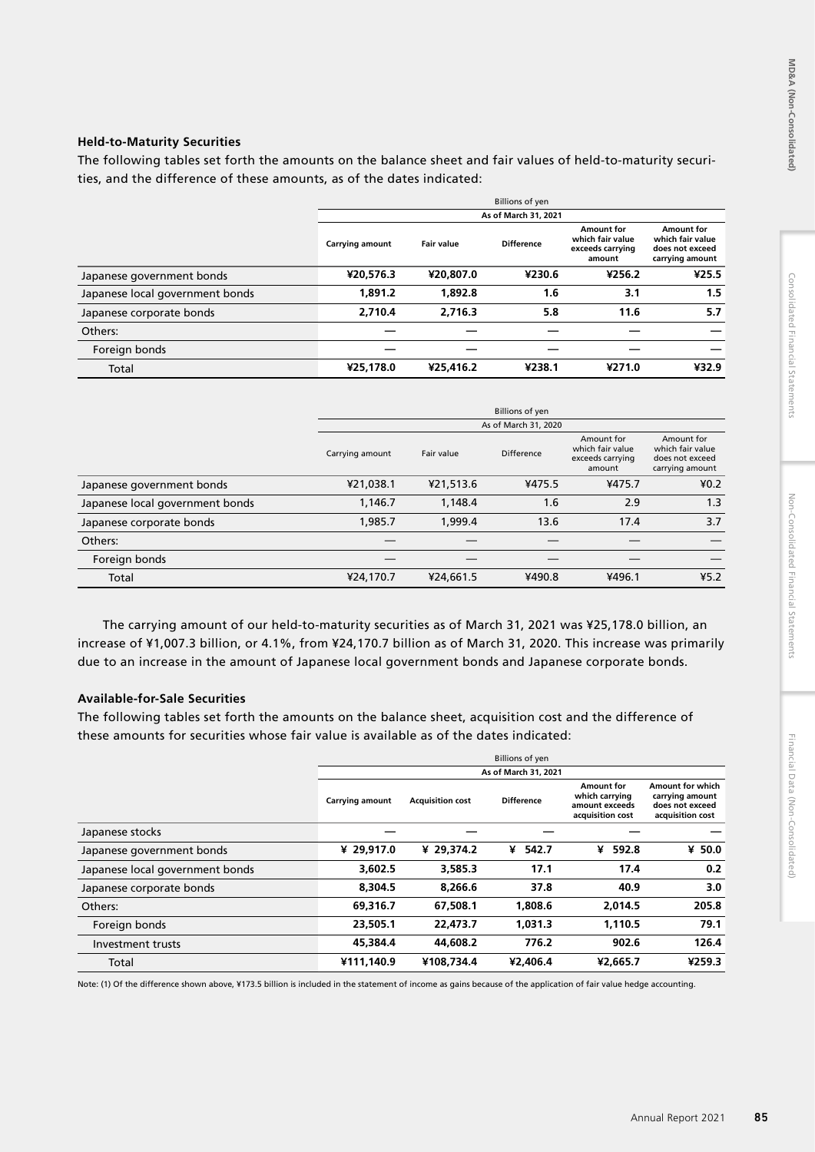# **Held-to-Maturity Securities**

The following tables set forth the amounts on the balance sheet and fair values of held-to-maturity securities, and the difference of these amounts, as of the dates indicated:

|                                 | <b>Billions of yen</b> |                   |                   |                                                              |                                                                      |  |  |  |  |  |
|---------------------------------|------------------------|-------------------|-------------------|--------------------------------------------------------------|----------------------------------------------------------------------|--|--|--|--|--|
|                                 | As of March 31, 2021   |                   |                   |                                                              |                                                                      |  |  |  |  |  |
|                                 | <b>Carrying amount</b> | <b>Fair value</b> | <b>Difference</b> | Amount for<br>which fair value<br>exceeds carrying<br>amount | Amount for<br>which fair value<br>does not exceed<br>carrying amount |  |  |  |  |  |
| Japanese government bonds       | ¥20,576.3              | ¥20.807.0         | ¥230.6            | ¥256.2                                                       | ¥25.5                                                                |  |  |  |  |  |
| Japanese local government bonds | 1,891.2                | 1,892.8           | 1.6               | 3.1                                                          | 1.5                                                                  |  |  |  |  |  |
| Japanese corporate bonds        | 2,710.4                | 2,716.3           | 5.8               | 11.6                                                         | 5.7                                                                  |  |  |  |  |  |
| Others:                         |                        |                   |                   |                                                              |                                                                      |  |  |  |  |  |
| Foreign bonds                   |                        |                   |                   |                                                              |                                                                      |  |  |  |  |  |
| Total                           | ¥25,178.0              | ¥25,416.2         | ¥238.1            | ¥271.0                                                       | ¥32.9                                                                |  |  |  |  |  |

|                                 | <b>Billions of yen</b> |            |            |                                                              |                                                                      |  |  |  |  |  |
|---------------------------------|------------------------|------------|------------|--------------------------------------------------------------|----------------------------------------------------------------------|--|--|--|--|--|
|                                 | As of March 31, 2020   |            |            |                                                              |                                                                      |  |  |  |  |  |
|                                 | Carrying amount        | Fair value | Difference | Amount for<br>which fair value<br>exceeds carrying<br>amount | Amount for<br>which fair value<br>does not exceed<br>carrying amount |  |  |  |  |  |
| Japanese government bonds       | ¥21,038.1              | ¥21,513.6  | ¥475.5     | ¥475.7                                                       | 40.2                                                                 |  |  |  |  |  |
| Japanese local government bonds | 1,146.7                | 1,148.4    | 1.6        | 2.9                                                          | 1.3                                                                  |  |  |  |  |  |
| Japanese corporate bonds        | 1,985.7                | 1,999.4    | 13.6       | 17.4                                                         | 3.7                                                                  |  |  |  |  |  |
| Others:                         |                        |            |            |                                                              |                                                                      |  |  |  |  |  |
| Foreign bonds                   |                        |            |            |                                                              |                                                                      |  |  |  |  |  |
| Total                           | ¥24,170.7              | ¥24,661.5  | ¥490.8     | ¥496.1                                                       | 45.2                                                                 |  |  |  |  |  |

The carrying amount of our held-to-maturity securities as of March 31, 2021 was ¥25,178.0 billion, an increase of ¥1,007.3 billion, or 4.1%, from ¥24,170.7 billion as of March 31, 2020. This increase was primarily due to an increase in the amount of Japanese local government bonds and Japanese corporate bonds.

# **Available-for-Sale Securities**

The following tables set forth the amounts on the balance sheet, acquisition cost and the difference of these amounts for securities whose fair value is available as of the dates indicated:

|                                 | <b>Billions of yen</b> |                         |                   |                                                                    |                                                                                   |  |  |  |  |  |  |
|---------------------------------|------------------------|-------------------------|-------------------|--------------------------------------------------------------------|-----------------------------------------------------------------------------------|--|--|--|--|--|--|
|                                 | As of March 31, 2021   |                         |                   |                                                                    |                                                                                   |  |  |  |  |  |  |
|                                 | Carrying amount        | <b>Acquisition cost</b> | <b>Difference</b> | Amount for<br>which carrying<br>amount exceeds<br>acquisition cost | <b>Amount for which</b><br>carrying amount<br>does not exceed<br>acquisition cost |  |  |  |  |  |  |
| Japanese stocks                 |                        |                         |                   |                                                                    |                                                                                   |  |  |  |  |  |  |
| Japanese government bonds       | ¥ 29,917.0             | ¥ 29.374.2              | ¥ 542.7           | 592.8<br>¥                                                         | $¥$ 50.0                                                                          |  |  |  |  |  |  |
| Japanese local government bonds | 3,602.5                | 3,585.3                 | 17.1              | 17.4                                                               | 0.2                                                                               |  |  |  |  |  |  |
| Japanese corporate bonds        | 8,304.5                | 8.266.6                 | 37.8              | 40.9                                                               | 3.0                                                                               |  |  |  |  |  |  |
| Others:                         | 69,316.7               | 67,508.1                | 1.808.6           | 2,014.5                                                            | 205.8                                                                             |  |  |  |  |  |  |
| Foreign bonds                   | 23,505.1               | 22,473.7                | 1.031.3           | 1.110.5                                                            | 79.1                                                                              |  |  |  |  |  |  |
| Investment trusts               | 45.384.4               | 44,608.2                | 776.2             | 902.6                                                              | 126.4                                                                             |  |  |  |  |  |  |
| Total                           | ¥111,140.9             | ¥108,734.4              | ¥2,406.4          | ¥2,665.7                                                           | ¥259.3                                                                            |  |  |  |  |  |  |

Note: (1) Of the difference shown above, ¥173.5 billion is included in the statement of income as gains because of the application of fair value hedge accounting.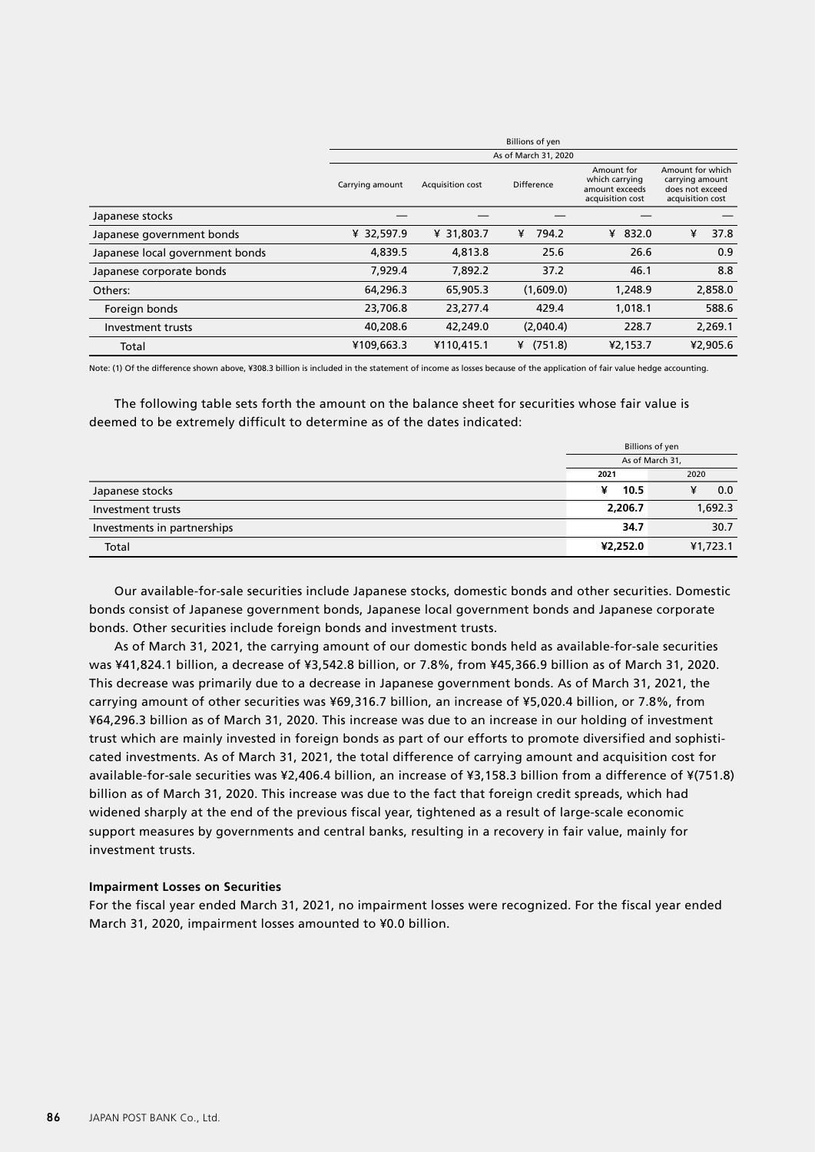|                                 | <b>Billions of yen</b> |                  |              |                                                                    |                                                                            |  |  |  |  |  |  |
|---------------------------------|------------------------|------------------|--------------|--------------------------------------------------------------------|----------------------------------------------------------------------------|--|--|--|--|--|--|
|                                 | As of March 31, 2020   |                  |              |                                                                    |                                                                            |  |  |  |  |  |  |
|                                 | Carrying amount        | Acquisition cost | Difference   | Amount for<br>which carrying<br>amount exceeds<br>acquisition cost | Amount for which<br>carrying amount<br>does not exceed<br>acquisition cost |  |  |  |  |  |  |
| Japanese stocks                 |                        |                  |              |                                                                    |                                                                            |  |  |  |  |  |  |
| Japanese government bonds       | ¥ 32,597.9             | ¥ 31,803.7       | 794.2<br>¥   | ¥ 832.0                                                            | ¥<br>37.8                                                                  |  |  |  |  |  |  |
| Japanese local government bonds | 4,839.5                | 4,813.8          | 25.6         | 26.6                                                               | 0.9                                                                        |  |  |  |  |  |  |
| Japanese corporate bonds        | 7,929.4                | 7,892.2          | 37.2         | 46.1                                                               | 8.8                                                                        |  |  |  |  |  |  |
| Others:                         | 64,296.3               | 65,905.3         | (1,609.0)    | 1,248.9                                                            | 2,858.0                                                                    |  |  |  |  |  |  |
| Foreign bonds                   | 23,706.8               | 23,277.4         | 429.4        | 1,018.1                                                            | 588.6                                                                      |  |  |  |  |  |  |
| Investment trusts               | 40,208.6               | 42,249.0         | (2,040.4)    | 228.7                                                              | 2,269.1                                                                    |  |  |  |  |  |  |
| Total                           | ¥109,663.3             | ¥110,415.1       | (751.8)<br>¥ | ¥2,153.7                                                           | ¥2,905.6                                                                   |  |  |  |  |  |  |

Note: (1) Of the difference shown above, ¥308.3 billion is included in the statement of income as losses because of the application of fair value hedge accounting.

The following table sets forth the amount on the balance sheet for securities whose fair value is deemed to be extremely difficult to determine as of the dates indicated:

|                             | Billions of yen |          |  |
|-----------------------------|-----------------|----------|--|
|                             | As of March 31, |          |  |
|                             | 2020<br>2021    |          |  |
| Japanese stocks             | ¥<br>10.5       | 0.0      |  |
| Investment trusts           | 2,206.7         | 1,692.3  |  |
| Investments in partnerships | 34.7            | 30.7     |  |
| Total                       | ¥2,252.0        | ¥1,723.1 |  |

Our available-for-sale securities include Japanese stocks, domestic bonds and other securities. Domestic bonds consist of Japanese government bonds, Japanese local government bonds and Japanese corporate bonds. Other securities include foreign bonds and investment trusts.

As of March 31, 2021, the carrying amount of our domestic bonds held as available-for-sale securities was ¥41,824.1 billion, a decrease of ¥3,542.8 billion, or 7.8%, from ¥45,366.9 billion as of March 31, 2020. This decrease was primarily due to a decrease in Japanese government bonds. As of March 31, 2021, the carrying amount of other securities was ¥69,316.7 billion, an increase of ¥5,020.4 billion, or 7.8%, from ¥64,296.3 billion as of March 31, 2020. This increase was due to an increase in our holding of investment trust which are mainly invested in foreign bonds as part of our efforts to promote diversified and sophisticated investments. As of March 31, 2021, the total difference of carrying amount and acquisition cost for available-for-sale securities was ¥2,406.4 billion, an increase of ¥3,158.3 billion from a difference of ¥(751.8) billion as of March 31, 2020. This increase was due to the fact that foreign credit spreads, which had widened sharply at the end of the previous fiscal year, tightened as a result of large-scale economic support measures by governments and central banks, resulting in a recovery in fair value, mainly for investment trusts.

### **Impairment Losses on Securities**

For the fiscal year ended March 31, 2021, no impairment losses were recognized. For the fiscal year ended March 31, 2020, impairment losses amounted to ¥0.0 billion.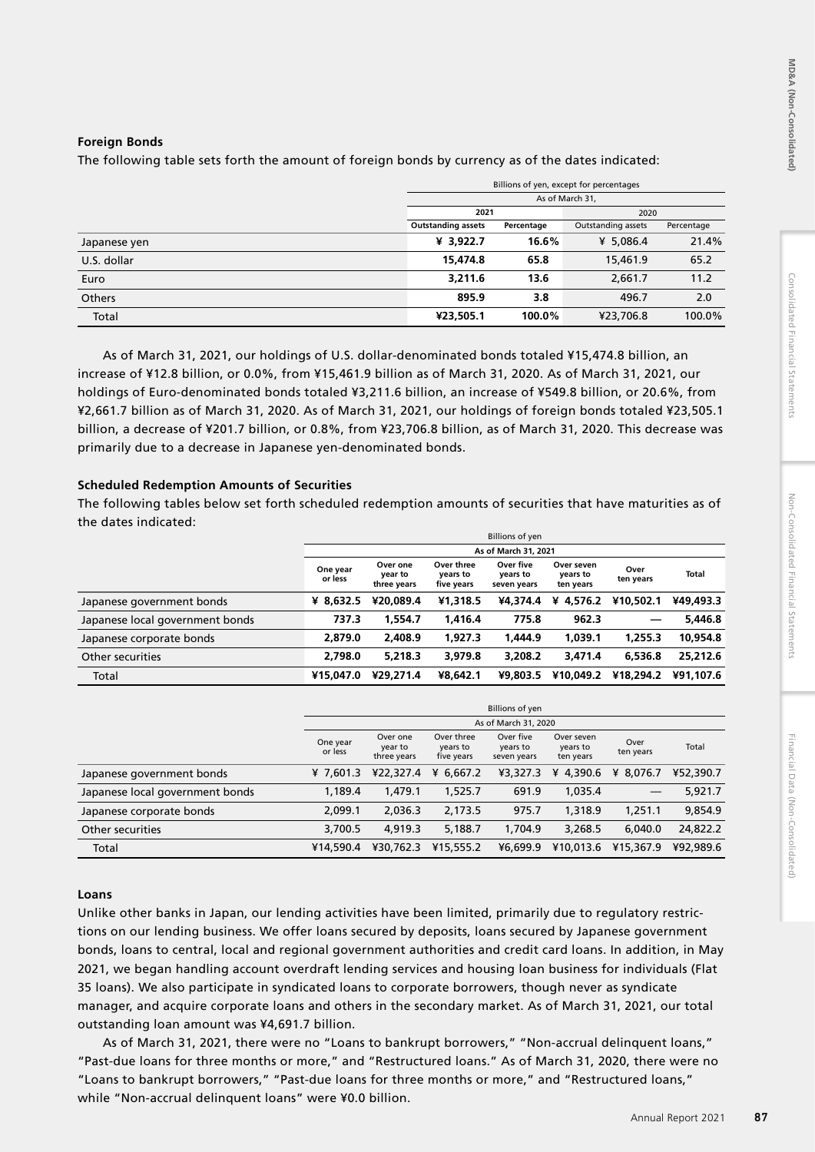# **Foreign Bonds**

The following table sets forth the amount of foreign bonds by currency as of the dates indicated:

|               | Billions of yen, except for percentages |            |                    |            |  |  |  |
|---------------|-----------------------------------------|------------|--------------------|------------|--|--|--|
|               | As of March 31,                         |            |                    |            |  |  |  |
|               | 2021<br>2020                            |            |                    |            |  |  |  |
|               | <b>Outstanding assets</b>               | Percentage | Outstanding assets | Percentage |  |  |  |
| Japanese yen  | ¥ 3,922.7                               | 16.6%      | ¥ 5,086.4          | 21.4%      |  |  |  |
| U.S. dollar   | 15,474.8                                | 65.8       | 15,461.9           | 65.2       |  |  |  |
| Euro          | 3,211.6                                 | 13.6       | 2,661.7            | 11.2       |  |  |  |
| <b>Others</b> | 895.9                                   | 3.8        | 496.7              | 2.0        |  |  |  |
| Total         | ¥23,505.1                               | 100.0%     | ¥23,706.8          | 100.0%     |  |  |  |

As of March 31, 2021, our holdings of U.S. dollar-denominated bonds totaled ¥15,474.8 billion, an increase of ¥12.8 billion, or 0.0%, from ¥15,461.9 billion as of March 31, 2020. As of March 31, 2021, our holdings of Euro-denominated bonds totaled ¥3,211.6 billion, an increase of ¥549.8 billion, or 20.6%, from ¥2,661.7 billion as of March 31, 2020. As of March 31, 2021, our holdings of foreign bonds totaled ¥23,505.1 billion, a decrease of ¥201.7 billion, or 0.8%, from ¥23,706.8 billion, as of March 31, 2020. This decrease was primarily due to a decrease in Japanese yen-denominated bonds.

# **Scheduled Redemption Amounts of Securities**

The following tables below set forth scheduled redemption amounts of securities that have maturities as of the dates indicated:

|                                 | <b>Billions of yen</b> |                                    |                                      |                                      |                                     |                   |              |  |  |
|---------------------------------|------------------------|------------------------------------|--------------------------------------|--------------------------------------|-------------------------------------|-------------------|--------------|--|--|
|                                 |                        |                                    |                                      | As of March 31, 2021                 |                                     |                   |              |  |  |
|                                 | One year<br>or less    | Over one<br>year to<br>three years | Over three<br>years to<br>five years | Over five<br>vears to<br>seven years | Over seven<br>years to<br>ten years | Over<br>ten years | <b>Total</b> |  |  |
| Japanese government bonds       | ¥ 8.632.5              | ¥20.089.4                          | ¥1.318.5                             | ¥4.374.4                             | ¥ 4.576.2                           | ¥10,502.1         | ¥49.493.3    |  |  |
| Japanese local government bonds | 737.3                  | 1.554.7                            | 1,416.4                              | 775.8                                | 962.3                               | $\qquad \qquad$   | 5,446.8      |  |  |
| Japanese corporate bonds        | 2.879.0                | 2,408.9                            | 1.927.3                              | 1.444.9                              | 1.039.1                             | 1,255.3           | 10,954.8     |  |  |
| Other securities                | 2.798.0                | 5.218.3                            | 3.979.8                              | 3.208.2                              | 3.471.4                             | 6,536.8           | 25,212.6     |  |  |
| Total                           | ¥15,047.0              | ¥29,271.4                          | ¥8.642.1                             | ¥9,803.5                             | ¥10,049.2                           | ¥18,294.2         | ¥91.107.6    |  |  |

|                                 | Billions of yen     |                                    |                                      |                                      |                                     |                   |           |  |  |
|---------------------------------|---------------------|------------------------------------|--------------------------------------|--------------------------------------|-------------------------------------|-------------------|-----------|--|--|
|                                 |                     |                                    |                                      | As of March 31, 2020                 |                                     |                   |           |  |  |
|                                 | One year<br>or less | Over one<br>year to<br>three years | Over three<br>years to<br>five years | Over five<br>years to<br>seven years | Over seven<br>years to<br>ten years | Over<br>ten years | Total     |  |  |
| Japanese government bonds       | ¥ $7.601.3$         | ¥22,327.4                          | ¥ $6.667.2$                          | ¥3,327.3                             | 4,390.6<br>¥                        | ¥ 8.076.7         | ¥52,390.7 |  |  |
| Japanese local government bonds | 1,189.4             | 1,479.1                            | 1,525.7                              | 691.9                                | 1,035.4                             |                   | 5,921.7   |  |  |
| Japanese corporate bonds        | 2,099.1             | 2,036.3                            | 2,173.5                              | 975.7                                | 1,318.9                             | 1,251.1           | 9,854.9   |  |  |
| Other securities                | 3,700.5             | 4.919.3                            | 5,188.7                              | 1,704.9                              | 3,268.5                             | 6.040.0           | 24,822.2  |  |  |
| Total                           | ¥14,590.4           | ¥30,762.3                          | ¥15,555.2                            | ¥6,699.9                             | ¥10.013.6                           | ¥15,367.9         | ¥92,989.6 |  |  |

## **Loans**

Unlike other banks in Japan, our lending activities have been limited, primarily due to regulatory restrictions on our lending business. We offer loans secured by deposits, loans secured by Japanese government bonds, loans to central, local and regional government authorities and credit card loans. In addition, in May 2021, we began handling account overdraft lending services and housing loan business for individuals (Flat 35 loans). We also participate in syndicated loans to corporate borrowers, though never as syndicate manager, and acquire corporate loans and others in the secondary market. As of March 31, 2021, our total outstanding loan amount was ¥4,691.7 billion.

As of March 31, 2021, there were no "Loans to bankrupt borrowers," "Non-accrual delinquent loans," "Past-due loans for three months or more," and "Restructured loans." As of March 31, 2020, there were no "Loans to bankrupt borrowers," "Past-due loans for three months or more," and "Restructured loans," while "Non-accrual delinquent loans" were ¥0.0 billion.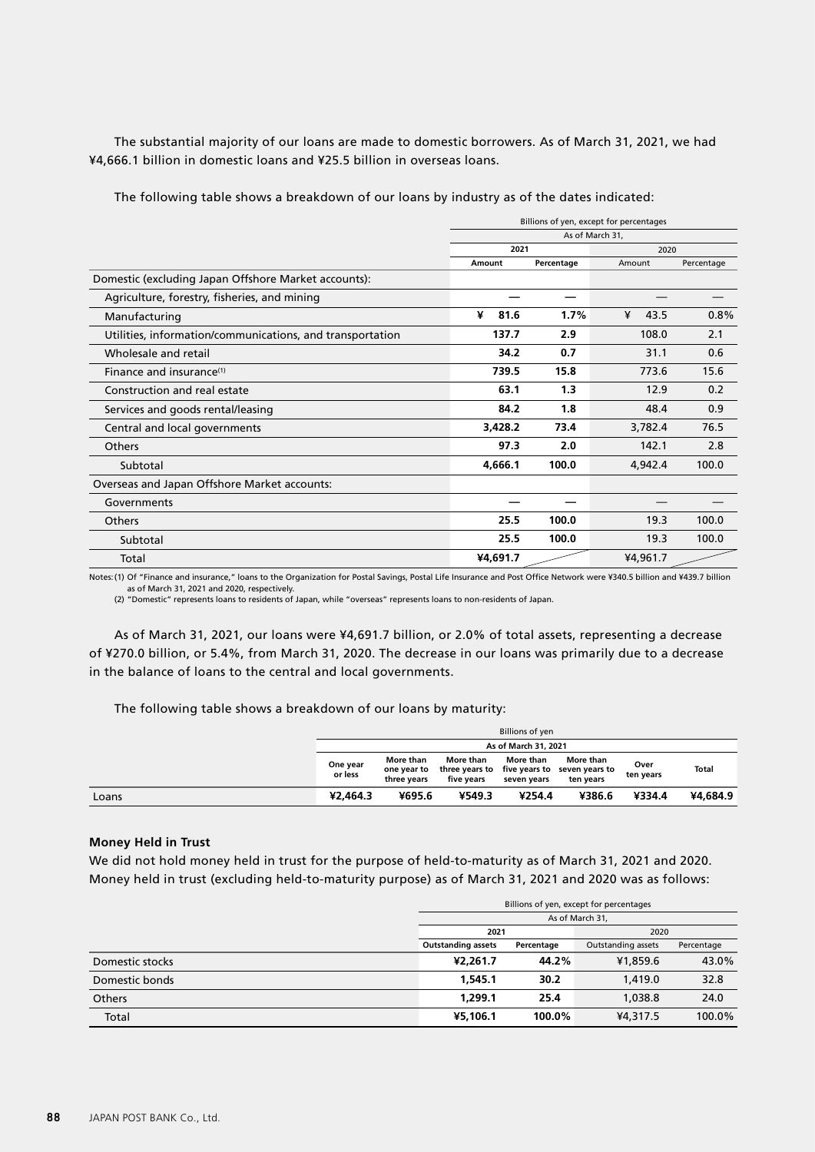The substantial majority of our loans are made to domestic borrowers. As of March 31, 2021, we had ¥4,666.1 billion in domestic loans and ¥25.5 billion in overseas loans.

The following table shows a breakdown of our loans by industry as of the dates indicated:

|                                                           | Billions of yen, except for percentages |            |           |            |  |  |  |
|-----------------------------------------------------------|-----------------------------------------|------------|-----------|------------|--|--|--|
|                                                           | As of March 31,                         |            |           |            |  |  |  |
|                                                           | 2021                                    |            | 2020      |            |  |  |  |
|                                                           | Amount                                  | Percentage | Amount    | Percentage |  |  |  |
| Domestic (excluding Japan Offshore Market accounts):      |                                         |            |           |            |  |  |  |
| Agriculture, forestry, fisheries, and mining              |                                         |            |           |            |  |  |  |
| Manufacturing                                             | ¥<br>81.6                               | 1.7%       | ¥<br>43.5 | 0.8%       |  |  |  |
| Utilities, information/communications, and transportation | 137.7                                   | 2.9        | 108.0     | 2.1        |  |  |  |
| Wholesale and retail                                      | 34.2                                    | 0.7        | 31.1      | 0.6        |  |  |  |
| Finance and insurance <sup>(1)</sup>                      | 739.5                                   | 15.8       | 773.6     | 15.6       |  |  |  |
| Construction and real estate                              | 63.1                                    | 1.3        | 12.9      | 0.2        |  |  |  |
| Services and goods rental/leasing                         | 84.2                                    | 1.8        | 48.4      | 0.9        |  |  |  |
| Central and local governments                             | 3,428.2                                 | 73.4       | 3,782.4   | 76.5       |  |  |  |
| <b>Others</b>                                             | 97.3                                    | 2.0        | 142.1     | 2.8        |  |  |  |
| Subtotal                                                  | 4,666.1                                 | 100.0      | 4,942.4   | 100.0      |  |  |  |
| Overseas and Japan Offshore Market accounts:              |                                         |            |           |            |  |  |  |
| Governments                                               |                                         |            |           |            |  |  |  |
| <b>Others</b>                                             | 25.5                                    | 100.0      | 19.3      | 100.0      |  |  |  |
| Subtotal                                                  | 25.5                                    | 100.0      | 19.3      | 100.0      |  |  |  |
| Total                                                     | ¥4,691.7                                |            | ¥4,961.7  |            |  |  |  |

Notes:(1) Of "Finance and insurance," loans to the Organization for Postal Savings, Postal Life Insurance and Post Office Network were ¥340.5 billion and ¥439.7 billion as of March 31, 2021 and 2020, respectively.

(2) "Domestic" represents loans to residents of Japan, while "overseas" represents loans to non-residents of Japan.

As of March 31, 2021, our loans were ¥4,691.7 billion, or 2.0% of total assets, representing a decrease of ¥270.0 billion, or 5.4%, from March 31, 2020. The decrease in our loans was primarily due to a decrease in the balance of loans to the central and local governments.

The following table shows a breakdown of our loans by maturity:

|       | Billions of yen      |                                         |                         |                          |                                                                       |                   |              |  |  |  |
|-------|----------------------|-----------------------------------------|-------------------------|--------------------------|-----------------------------------------------------------------------|-------------------|--------------|--|--|--|
|       | As of March 31, 2021 |                                         |                         |                          |                                                                       |                   |              |  |  |  |
|       | One year<br>or less  | More than<br>one vear to<br>three vears | More than<br>five vears | More than<br>seven vears | More than<br>three years to five years to seven years to<br>ten years | Over<br>ten years | <b>Total</b> |  |  |  |
| Loans | ¥2,464.3             | ¥695.6                                  | ¥549.3                  | ¥254.4                   | ¥386.6                                                                | ¥334.4            | ¥4,684.9     |  |  |  |

### **Money Held in Trust**

We did not hold money held in trust for the purpose of held-to-maturity as of March 31, 2021 and 2020. Money held in trust (excluding held-to-maturity purpose) as of March 31, 2021 and 2020 was as follows:

|                 | Billions of yen, except for percentages                                                     |        |          |        |  |  |  |
|-----------------|---------------------------------------------------------------------------------------------|--------|----------|--------|--|--|--|
|                 | As of March 31,                                                                             |        |          |        |  |  |  |
|                 | 2021<br>2020<br><b>Outstanding assets</b><br>Outstanding assets<br>Percentage<br>Percentage |        |          |        |  |  |  |
|                 |                                                                                             |        |          |        |  |  |  |
| Domestic stocks | ¥2.261.7                                                                                    | 44.2%  | ¥1,859.6 | 43.0%  |  |  |  |
| Domestic bonds  | 1,545.1                                                                                     | 30.2   | 1,419.0  | 32.8   |  |  |  |
| <b>Others</b>   | 1,299.1                                                                                     | 25.4   | 1,038.8  | 24.0   |  |  |  |
| Total           | ¥5,106.1                                                                                    | 100.0% | ¥4,317.5 | 100.0% |  |  |  |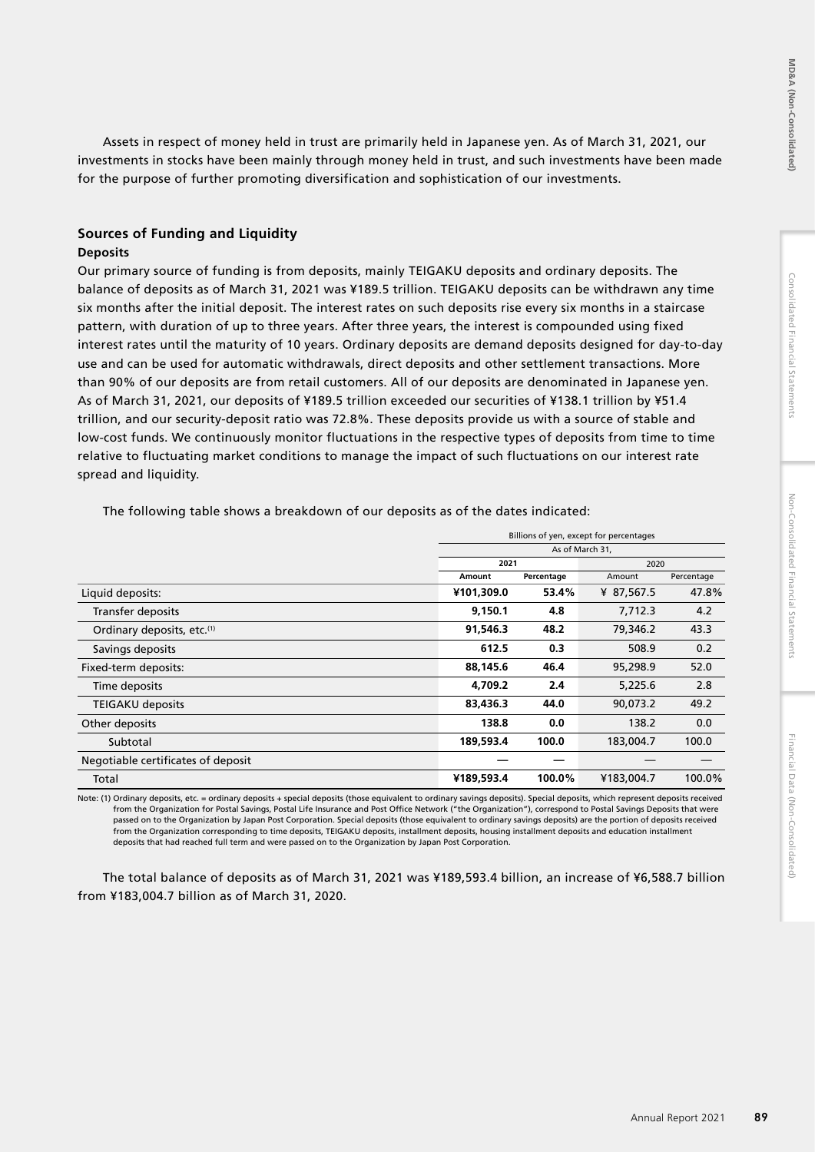Assets in respect of money held in trust are primarily held in Japanese yen. As of March 31, 2021, our investments in stocks have been mainly through money held in trust, and such investments have been made for the purpose of further promoting diversification and sophistication of our investments.

# **Sources of Funding and Liquidity**

## **Deposits**

Our primary source of funding is from deposits, mainly TEIGAKU deposits and ordinary deposits. The balance of deposits as of March 31, 2021 was ¥189.5 trillion. TEIGAKU deposits can be withdrawn any time six months after the initial deposit. The interest rates on such deposits rise every six months in a staircase pattern, with duration of up to three years. After three years, the interest is compounded using fixed interest rates until the maturity of 10 years. Ordinary deposits are demand deposits designed for day-to-day use and can be used for automatic withdrawals, direct deposits and other settlement transactions. More than 90% of our deposits are from retail customers. All of our deposits are denominated in Japanese yen. As of March 31, 2021, our deposits of ¥189.5 trillion exceeded our securities of ¥138.1 trillion by ¥51.4 trillion, and our security-deposit ratio was 72.8%. These deposits provide us with a source of stable and low-cost funds. We continuously monitor fluctuations in the respective types of deposits from time to time relative to fluctuating market conditions to manage the impact of such fluctuations on our interest rate spread and liquidity.

Billions of yen, except for percentages As of March 31, **2021** 2020 **Amount Percentage Amount Percentage** Liquid deposits: **¥101,309.0 53.4%** ¥ 87,567.5 47.8% Transfer deposits **9,150.1 4.8** 7,712.3 4.2 Ordinary deposits, etc.(1) **91,546.3 48.2** 79,346.2 43.3 Savings deposits **612.5 0.3** 508.9 0.2 Fixed-term deposits: **88,145.6 46.4** 95,298.9 52.0 Time deposits **4,709.2 2.4** 5,225.6 2.8 TEIGAKU deposits **83,436.3 44.0** 90,073.2 49.2 Other deposits **138.8 0.0** 138.2 0.0 Subtotal **189,593.4 100.0** 183,004.7 100.0 Negotiable certificates of deposit **— —** — — Total **¥189,593.4 100.0%** ¥183,004.7 100.0%

The following table shows a breakdown of our deposits as of the dates indicated:

Note: (1) Ordinary deposits, etc. = ordinary deposits + special deposits (those equivalent to ordinary savings deposits). Special deposits, which represent deposits received from the Organization for Postal Savings, Postal Life Insurance and Post Office Network ("the Organization"), correspond to Postal Savings Deposits that were passed on to the Organization by Japan Post Corporation. Special deposits (those equivalent to ordinary savings deposits) are the portion of deposits received from the Organization corresponding to time deposits, TEIGAKU deposits, installment deposits, housing installment deposits and education installment deposits that had reached full term and were passed on to the Organization by Japan Post Corporation.

The total balance of deposits as of March 31, 2021 was ¥189,593.4 billion, an increase of ¥6,588.7 billion from ¥183,004.7 billion as of March 31, 2020.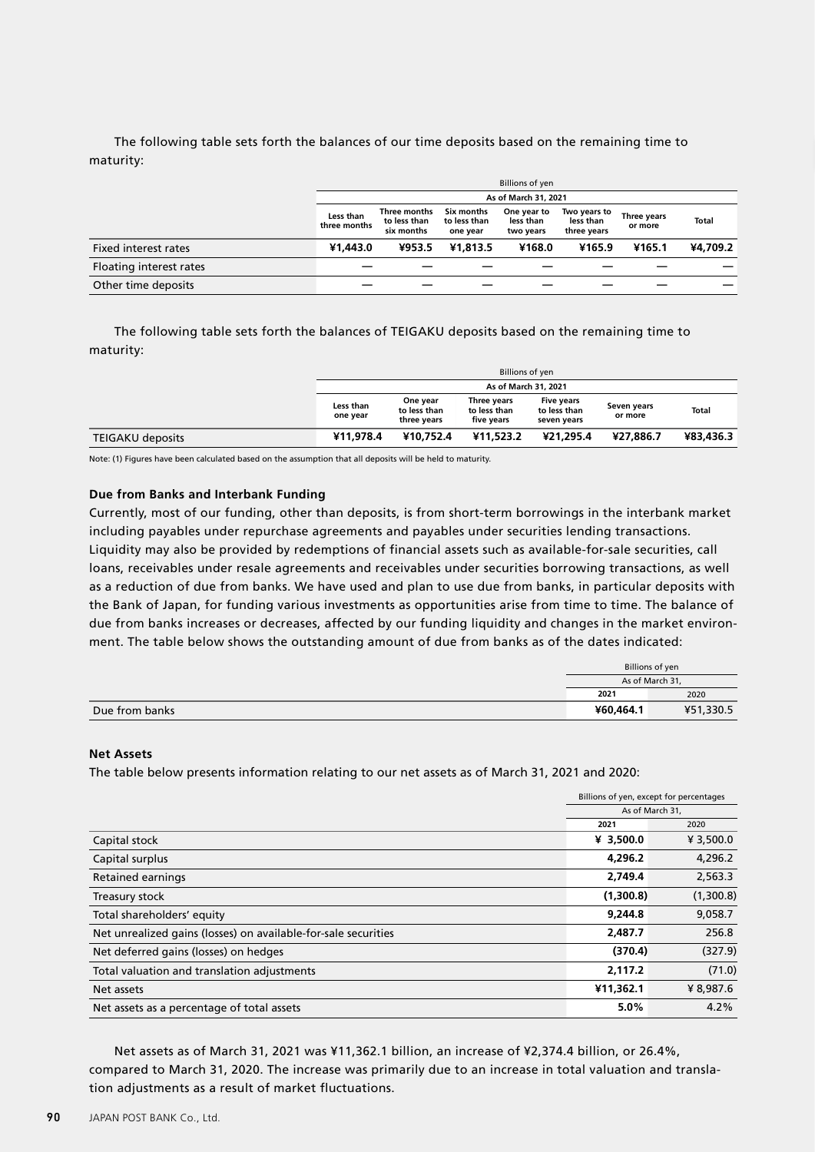The following table sets forth the balances of our time deposits based on the remaining time to maturity:

|                         | <b>Billions of yen</b>    |                                            |                                        |                                       |                                          |                        |              |  |  |
|-------------------------|---------------------------|--------------------------------------------|----------------------------------------|---------------------------------------|------------------------------------------|------------------------|--------------|--|--|
|                         |                           |                                            |                                        | As of March 31, 2021                  |                                          |                        |              |  |  |
|                         | Less than<br>three months | Three months<br>to less than<br>six months | Six months<br>to less than<br>one year | One year to<br>less than<br>two years | Two years to<br>less than<br>three years | Three years<br>or more | <b>Total</b> |  |  |
| Fixed interest rates    | ¥1,443.0                  | ¥953.5                                     | ¥1.813.5                               | ¥168.0                                | ¥165.9                                   | ¥165.1                 | ¥4,709.2     |  |  |
| Floating interest rates |                           |                                            |                                        |                                       |                                          |                        |              |  |  |
| Other time deposits     |                           |                                            |                                        |                                       |                                          |                        |              |  |  |

The following table sets forth the balances of TEIGAKU deposits based on the remaining time to maturity:

|                         | Billions of yen       |                                         |                                           |                                                  |                        |              |
|-------------------------|-----------------------|-----------------------------------------|-------------------------------------------|--------------------------------------------------|------------------------|--------------|
|                         | As of March 31, 2021  |                                         |                                           |                                                  |                        |              |
|                         | Less than<br>one year | One year<br>to less than<br>three vears | Three years<br>to less than<br>five vears | <b>Five years</b><br>to less than<br>seven years | Seven years<br>or more | <b>Total</b> |
| <b>TEIGAKU deposits</b> | ¥11.978.4             | ¥10.752.4                               | ¥11,523.2                                 | ¥21.295.4                                        | ¥27,886.7              | ¥83.436.3    |

Note: (1) Figures have been calculated based on the assumption that all deposits will be held to maturity.

### **Due from Banks and Interbank Funding**

Currently, most of our funding, other than deposits, is from short-term borrowings in the interbank market including payables under repurchase agreements and payables under securities lending transactions. Liquidity may also be provided by redemptions of financial assets such as available-for-sale securities, call loans, receivables under resale agreements and receivables under securities borrowing transactions, as well as a reduction of due from banks. We have used and plan to use due from banks, in particular deposits with the Bank of Japan, for funding various investments as opportunities arise from time to time. The balance of due from banks increases or decreases, affected by our funding liquidity and changes in the market environment. The table below shows the outstanding amount of due from banks as of the dates indicated:

|                | Billions of yen |           |
|----------------|-----------------|-----------|
|                | As of March 31, |           |
|                | 2021            | 2020      |
| Due from banks | ¥60,464.1       | ¥51,330.5 |

### **Net Assets**

The table below presents information relating to our net assets as of March 31, 2021 and 2020:

|                                                                | Billions of yen, except for percentages |           |
|----------------------------------------------------------------|-----------------------------------------|-----------|
|                                                                | As of March 31,                         |           |
|                                                                | 2021                                    | 2020      |
| Capital stock                                                  | ¥ 3,500.0                               | ¥ 3,500.0 |
| Capital surplus                                                | 4,296.2                                 | 4,296.2   |
| <b>Retained earnings</b>                                       | 2,749.4                                 | 2,563.3   |
| Treasury stock                                                 | (1,300.8)                               | (1,300.8) |
| Total shareholders' equity                                     | 9,244.8                                 | 9,058.7   |
| Net unrealized gains (losses) on available-for-sale securities | 2,487.7                                 | 256.8     |
| Net deferred gains (losses) on hedges                          | (370.4)                                 | (327.9)   |
| Total valuation and translation adjustments                    | 2,117.2                                 | (71.0)    |
| Net assets                                                     | ¥11,362.1                               | ¥ 8,987.6 |
| Net assets as a percentage of total assets                     | 5.0%                                    | 4.2%      |

Net assets as of March 31, 2021 was ¥11,362.1 billion, an increase of ¥2,374.4 billion, or 26.4%, compared to March 31, 2020. The increase was primarily due to an increase in total valuation and translation adjustments as a result of market fluctuations.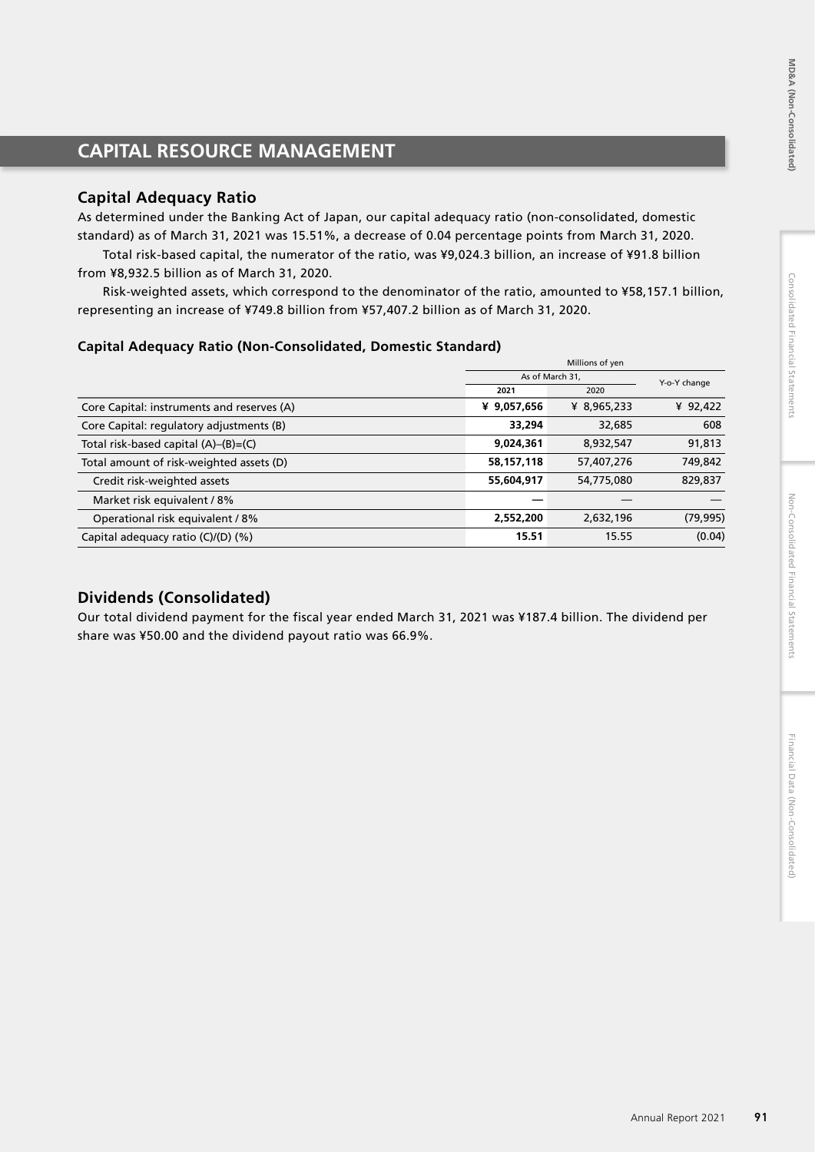# **CAPITAL RESOURCE MANAGEMENT**

# **Capital Adequacy Ratio**

As determined under the Banking Act of Japan, our capital adequacy ratio (non-consolidated, domestic standard) as of March 31, 2021 was 15.51%, a decrease of 0.04 percentage points from March 31, 2020.

Total risk-based capital, the numerator of the ratio, was ¥9,024.3 billion, an increase of ¥91.8 billion from ¥8,932.5 billion as of March 31, 2020.

Risk-weighted assets, which correspond to the denominator of the ratio, amounted to ¥58,157.1 billion, representing an increase of ¥749.8 billion from ¥57,407.2 billion as of March 31, 2020.

# **Capital Adequacy Ratio (Non-Consolidated, Domestic Standard)**

|                                            | Millions of yen |             |              |
|--------------------------------------------|-----------------|-------------|--------------|
|                                            | As of March 31, |             | Y-o-Y change |
|                                            | 2021            | 2020        |              |
| Core Capital: instruments and reserves (A) | ¥ 9,057,656     | ¥ 8,965,233 | ¥ $92,422$   |
| Core Capital: regulatory adjustments (B)   | 33,294          | 32,685      | 608          |
| Total risk-based capital (A)–(B)=(C)       | 9,024,361       | 8,932,547   | 91,813       |
| Total amount of risk-weighted assets (D)   | 58,157,118      | 57,407,276  | 749,842      |
| Credit risk-weighted assets                | 55,604,917      | 54,775,080  | 829,837      |
| Market risk equivalent / 8%                |                 |             |              |
| Operational risk equivalent / 8%           | 2,552,200       | 2,632,196   | (79, 995)    |
| Capital adequacy ratio $(C)/(D)$ $(\%)$    | 15.51           | 15.55       | (0.04)       |

# **Dividends (Consolidated)**

Our total dividend payment for the fiscal year ended March 31, 2021 was ¥187.4 billion. The dividend per share was ¥50.00 and the dividend payout ratio was 66.9%.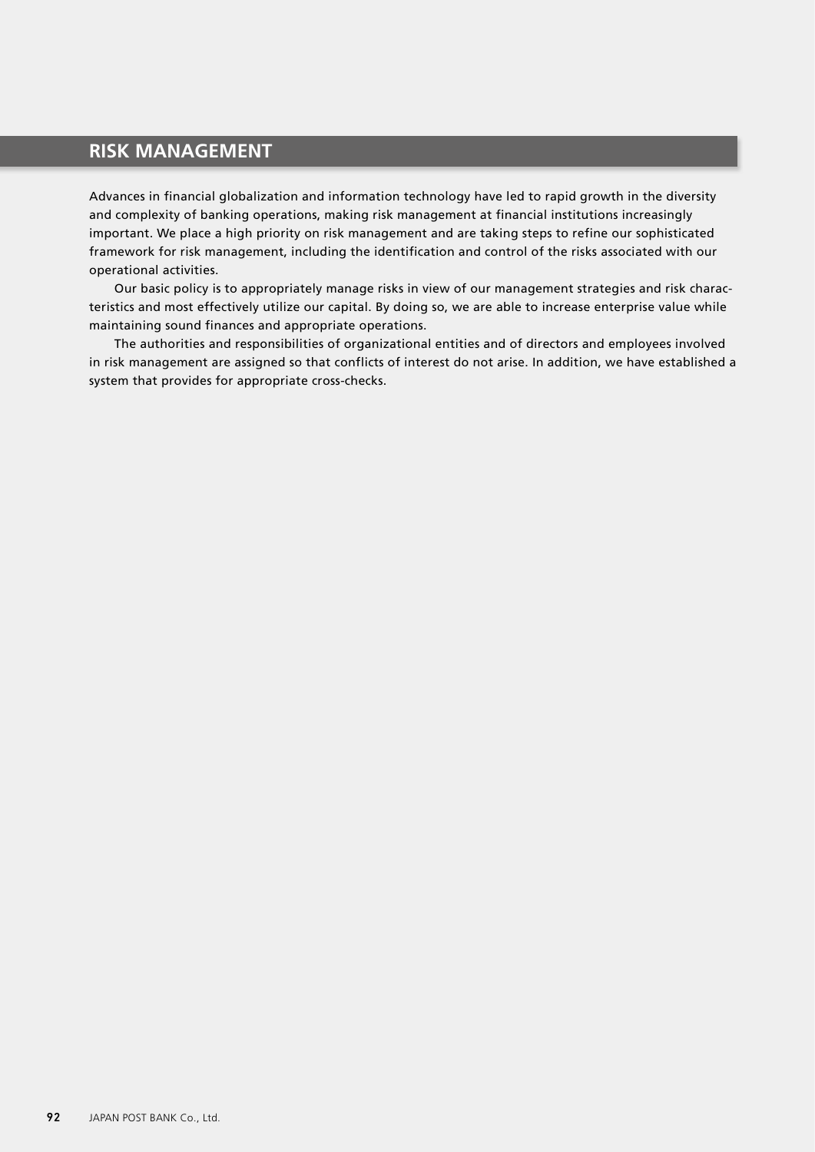# **RISK MANAGEMENT**

Advances in financial globalization and information technology have led to rapid growth in the diversity and complexity of banking operations, making risk management at financial institutions increasingly important. We place a high priority on risk management and are taking steps to refine our sophisticated framework for risk management, including the identification and control of the risks associated with our operational activities.

Our basic policy is to appropriately manage risks in view of our management strategies and risk characteristics and most effectively utilize our capital. By doing so, we are able to increase enterprise value while maintaining sound finances and appropriate operations.

The authorities and responsibilities of organizational entities and of directors and employees involved in risk management are assigned so that conflicts of interest do not arise. In addition, we have established a system that provides for appropriate cross-checks.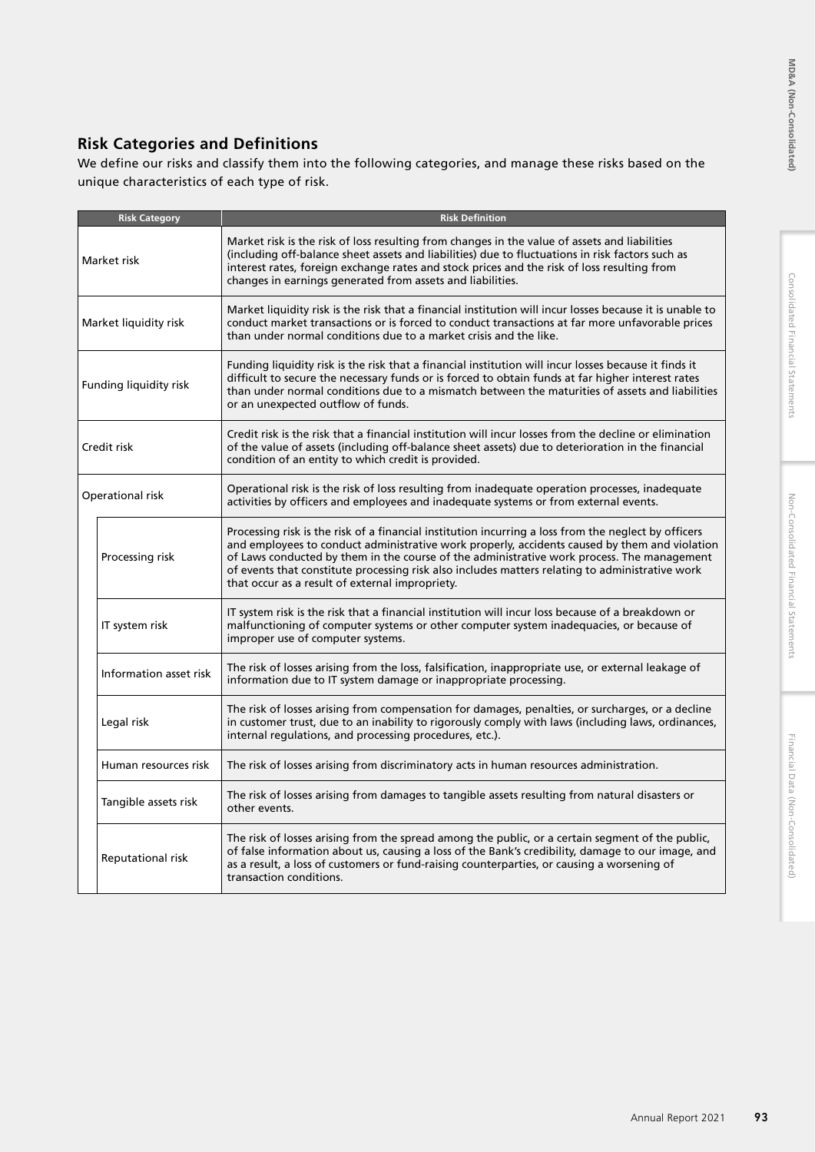# **Risk Categories and Definitions**

We define our risks and classify them into the following categories, and manage these risks based on the unique characteristics of each type of risk.

|                        | <b>Risk Category</b>   | <b>Risk Definition</b>                                                                                                                                                                                                                                                                                                                                                                                                                                    |
|------------------------|------------------------|-----------------------------------------------------------------------------------------------------------------------------------------------------------------------------------------------------------------------------------------------------------------------------------------------------------------------------------------------------------------------------------------------------------------------------------------------------------|
|                        | Market risk            | Market risk is the risk of loss resulting from changes in the value of assets and liabilities<br>(including off-balance sheet assets and liabilities) due to fluctuations in risk factors such as<br>interest rates, foreign exchange rates and stock prices and the risk of loss resulting from<br>changes in earnings generated from assets and liabilities.                                                                                            |
| Market liquidity risk  |                        | Market liquidity risk is the risk that a financial institution will incur losses because it is unable to<br>conduct market transactions or is forced to conduct transactions at far more unfavorable prices<br>than under normal conditions due to a market crisis and the like.                                                                                                                                                                          |
| Funding liquidity risk |                        | Funding liquidity risk is the risk that a financial institution will incur losses because it finds it<br>difficult to secure the necessary funds or is forced to obtain funds at far higher interest rates<br>than under normal conditions due to a mismatch between the maturities of assets and liabilities<br>or an unexpected outflow of funds.                                                                                                       |
|                        | Credit risk            | Credit risk is the risk that a financial institution will incur losses from the decline or elimination<br>of the value of assets (including off-balance sheet assets) due to deterioration in the financial<br>condition of an entity to which credit is provided.                                                                                                                                                                                        |
|                        | Operational risk       | Operational risk is the risk of loss resulting from inadequate operation processes, inadequate<br>activities by officers and employees and inadequate systems or from external events.                                                                                                                                                                                                                                                                    |
|                        | Processing risk        | Processing risk is the risk of a financial institution incurring a loss from the neglect by officers<br>and employees to conduct administrative work properly, accidents caused by them and violation<br>of Laws conducted by them in the course of the administrative work process. The management<br>of events that constitute processing risk also includes matters relating to administrative work<br>that occur as a result of external impropriety. |
|                        | IT system risk         | IT system risk is the risk that a financial institution will incur loss because of a breakdown or<br>malfunctioning of computer systems or other computer system inadequacies, or because of<br>improper use of computer systems.                                                                                                                                                                                                                         |
|                        | Information asset risk | The risk of losses arising from the loss, falsification, inappropriate use, or external leakage of<br>information due to IT system damage or inappropriate processing.                                                                                                                                                                                                                                                                                    |
|                        | Legal risk             | The risk of losses arising from compensation for damages, penalties, or surcharges, or a decline<br>in customer trust, due to an inability to rigorously comply with laws (including laws, ordinances,<br>internal regulations, and processing procedures, etc.).                                                                                                                                                                                         |
|                        | Human resources risk   | The risk of losses arising from discriminatory acts in human resources administration.                                                                                                                                                                                                                                                                                                                                                                    |
|                        | Tangible assets risk   | The risk of losses arising from damages to tangible assets resulting from natural disasters or<br>other events.                                                                                                                                                                                                                                                                                                                                           |
|                        | Reputational risk      | The risk of losses arising from the spread among the public, or a certain segment of the public,<br>of false information about us, causing a loss of the Bank's credibility, damage to our image, and<br>as a result, a loss of customers or fund-raising counterparties, or causing a worsening of<br>transaction conditions.                                                                                                                            |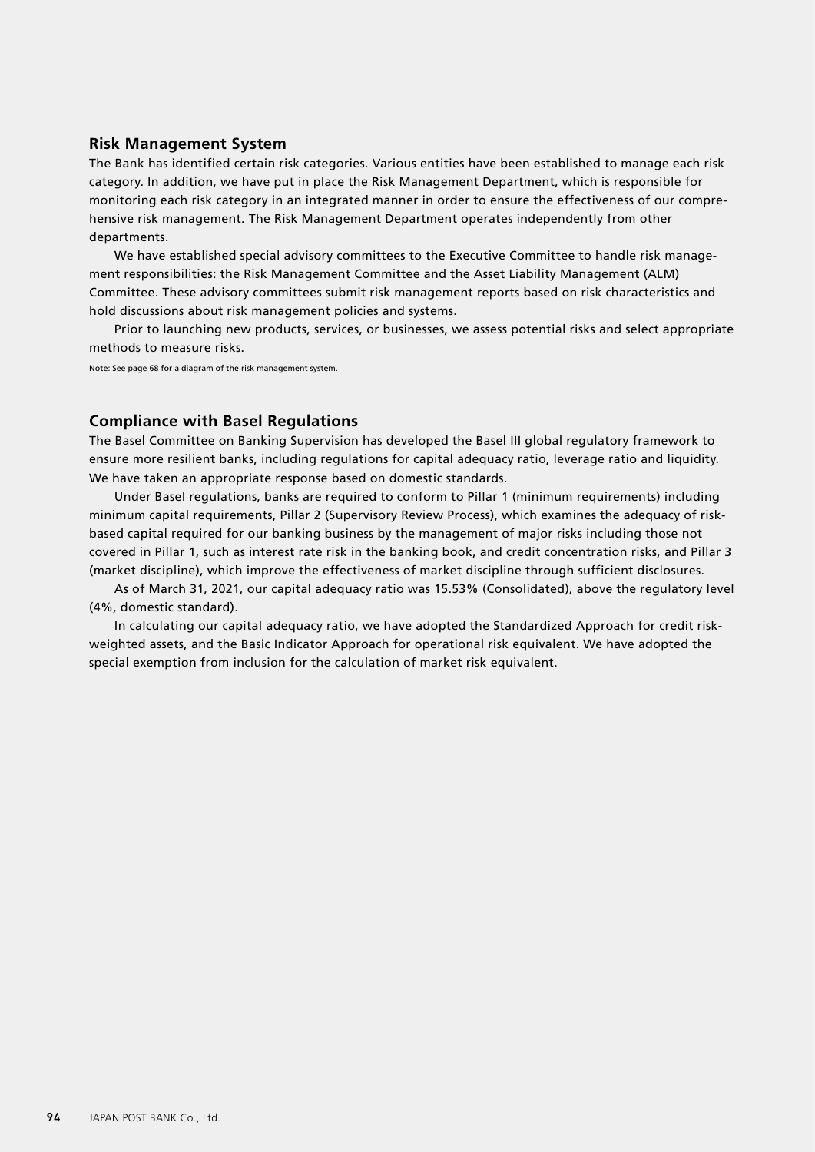# **Risk Management System**

The Bank has identified certain risk categories. Various entities have been established to manage each risk category. In addition, we have put in place the Risk Management Department, which is responsible for monitoring each risk category in an integrated manner in order to ensure the effectiveness of our comprehensive risk management. The Risk Management Department operates independently from other departments.

We have established special advisory committees to the Executive Committee to handle risk management responsibilities: the Risk Management Committee and the Asset Liability Management (ALM) Committee. These advisory committees submit risk management reports based on risk characteristics and hold discussions about risk management policies and systems.

Prior to launching new products, services, or businesses, we assess potential risks and select appropriate methods to measure risks.

Note: See page 68 for a diagram of the risk management system.

# **Compliance with Basel Regulations**

The Basel Committee on Banking Supervision has developed the Basel III global regulatory framework to ensure more resilient banks, including regulations for capital adequacy ratio, leverage ratio and liquidity. We have taken an appropriate response based on domestic standards.

Under Basel regulations, banks are required to conform to Pillar 1 (minimum requirements) including minimum capital requirements, Pillar 2 (Supervisory Review Process), which examines the adequacy of riskbased capital required for our banking business by the management of major risks including those not covered in Pillar 1, such as interest rate risk in the banking book, and credit concentration risks, and Pillar 3 (market discipline), which improve the effectiveness of market discipline through sufficient disclosures.

As of March 31, 2021, our capital adequacy ratio was 15.53% (Consolidated), above the regulatory level (4%, domestic standard).

In calculating our capital adequacy ratio, we have adopted the Standardized Approach for credit riskweighted assets, and the Basic Indicator Approach for operational risk equivalent. We have adopted the special exemption from inclusion for the calculation of market risk equivalent.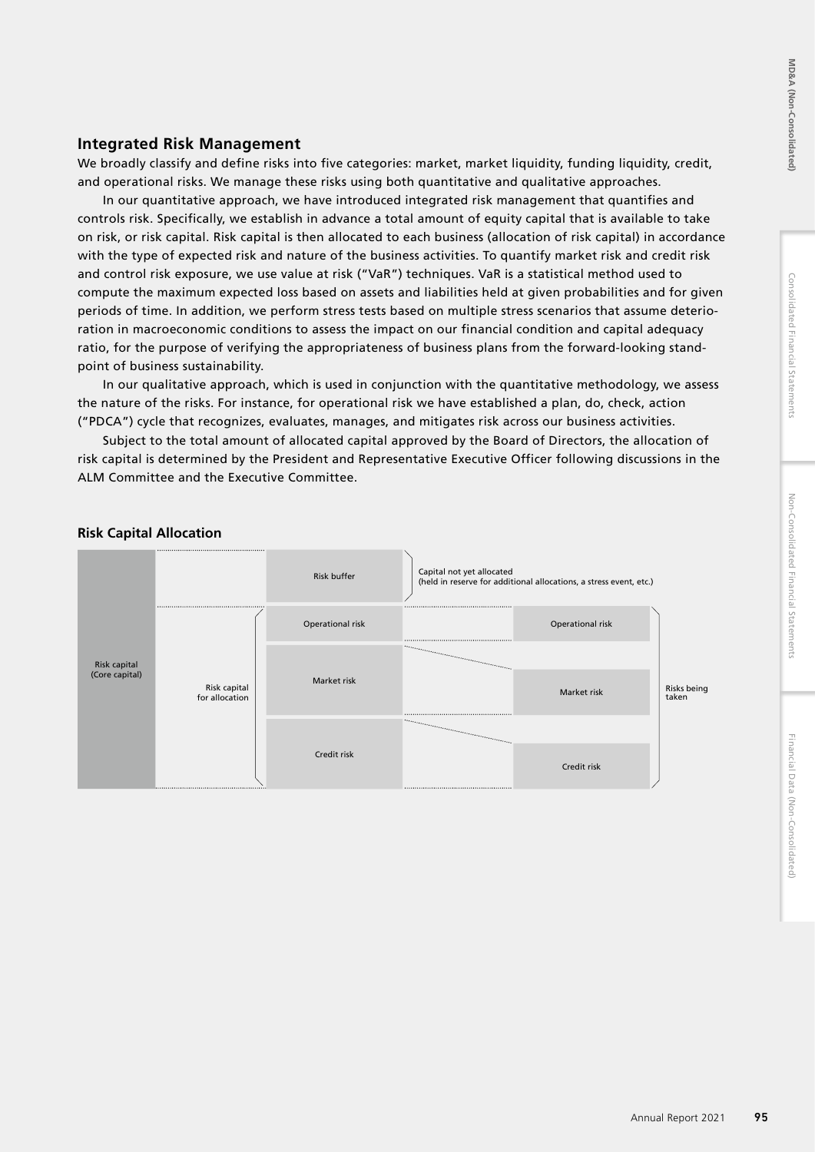# **Integrated Risk Management**

We broadly classify and define risks into five categories: market, market liquidity, funding liquidity, credit, and operational risks. We manage these risks using both quantitative and qualitative approaches.

In our quantitative approach, we have introduced integrated risk management that quantifies and controls risk. Specifically, we establish in advance a total amount of equity capital that is available to take on risk, or risk capital. Risk capital is then allocated to each business (allocation of risk capital) in accordance with the type of expected risk and nature of the business activities. To quantify market risk and credit risk and control risk exposure, we use value at risk ("VaR") techniques. VaR is a statistical method used to compute the maximum expected loss based on assets and liabilities held at given probabilities and for given periods of time. In addition, we perform stress tests based on multiple stress scenarios that assume deterioration in macroeconomic conditions to assess the impact on our financial condition and capital adequacy ratio, for the purpose of verifying the appropriateness of business plans from the forward-looking standpoint of business sustainability.

In our qualitative approach, which is used in conjunction with the quantitative methodology, we assess the nature of the risks. For instance, for operational risk we have established a plan, do, check, action ("PDCA") cycle that recognizes, evaluates, manages, and mitigates risk across our business activities.

Subject to the total amount of allocated capital approved by the Board of Directors, the allocation of risk capital is determined by the President and Representative Executive Officer following discussions in the ALM Committee and the Executive Committee.



# **Risk Capital Allocation**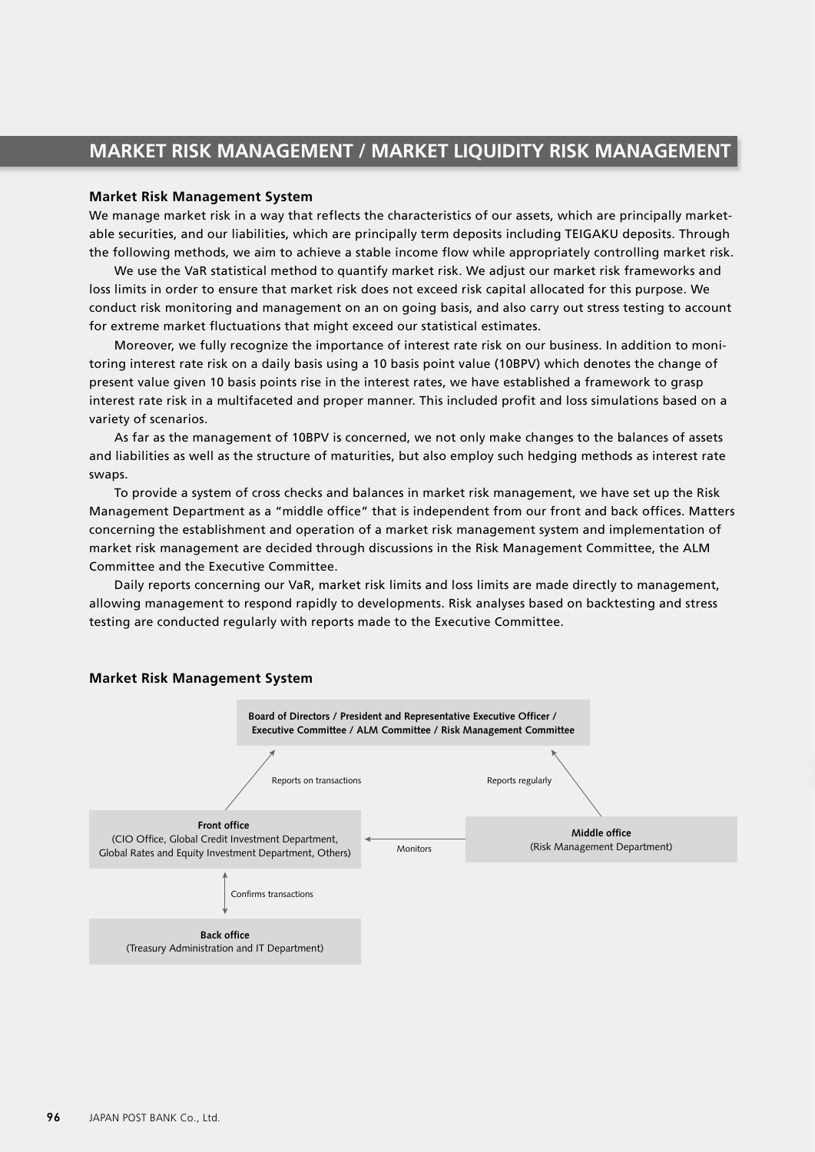# **MARKET RISK MANAGEMENT / MARKET LIQUIDITY RISK MANAGEMENT**

### **Market Risk Management System**

We manage market risk in a way that reflects the characteristics of our assets, which are principally marketable securities, and our liabilities, which are principally term deposits including TEIGAKU deposits. Through the following methods, we aim to achieve a stable income flow while appropriately controlling market risk.

We use the VaR statistical method to quantify market risk. We adjust our market risk frameworks and loss limits in order to ensure that market risk does not exceed risk capital allocated for this purpose. We conduct risk monitoring and management on an on going basis, and also carry out stress testing to account for extreme market fluctuations that might exceed our statistical estimates.

Moreover, we fully recognize the importance of interest rate risk on our business. In addition to monitoring interest rate risk on a daily basis using a 10 basis point value (10BPV) which denotes the change of present value given 10 basis points rise in the interest rates, we have established a framework to grasp interest rate risk in a multifaceted and proper manner. This included profit and loss simulations based on a variety of scenarios.

As far as the management of 10BPV is concerned, we not only make changes to the balances of assets and liabilities as well as the structure of maturities, but also employ such hedging methods as interest rate swaps.

To provide a system of cross checks and balances in market risk management, we have set up the Risk Management Department as a "middle office" that is independent from our front and back offices. Matters concerning the establishment and operation of a market risk management system and implementation of market risk management are decided through discussions in the Risk Management Committee, the ALM Committee and the Executive Committee.

Daily reports concerning our VaR, market risk limits and loss limits are made directly to management, allowing management to respond rapidly to developments. Risk analyses based on backtesting and stress testing are conducted regularly with reports made to the Executive Committee.



### **Market Risk Management System**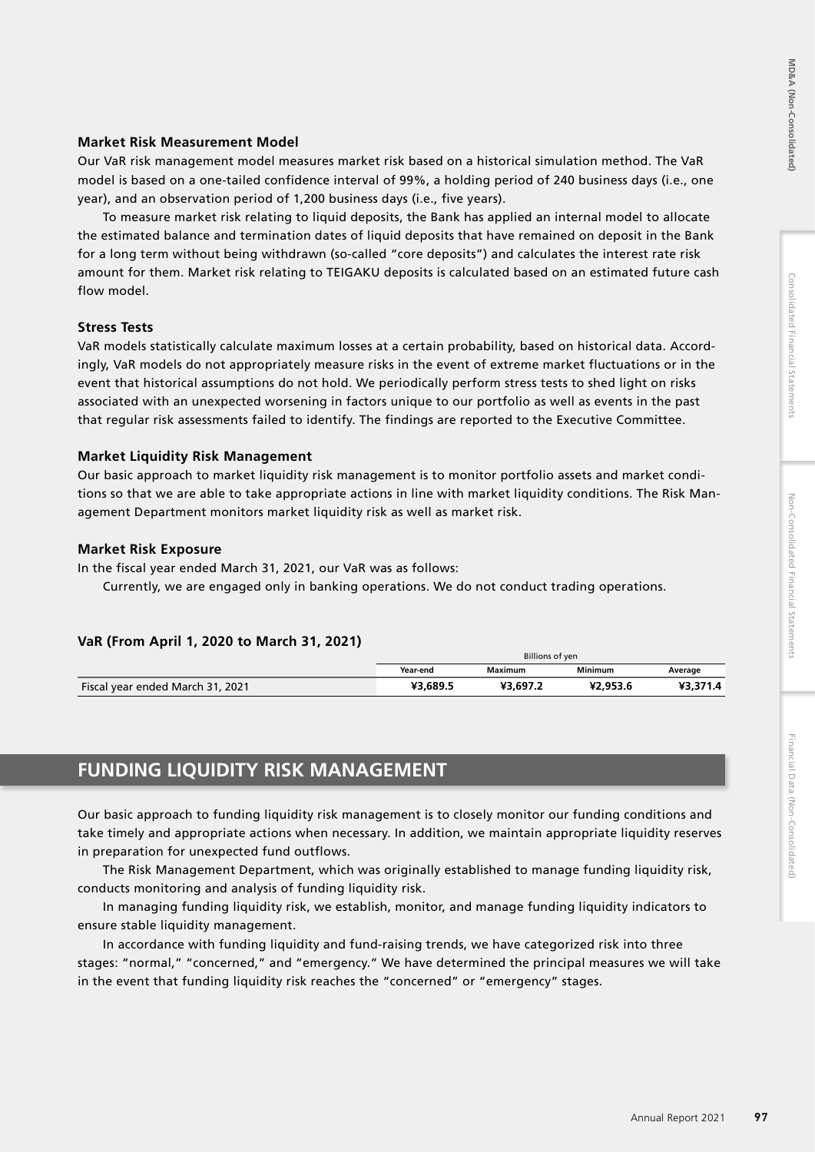# Financial Data (Non-Consolidated)

# **Market Risk Measurement Model**

Our VaR risk management model measures market risk based on a historical simulation method. The VaR model is based on a one-tailed confidence interval of 99%, a holding period of 240 business days (i.e., one year), and an observation period of 1,200 business days (i.e., five years).

To measure market risk relating to liquid deposits, the Bank has applied an internal model to allocate the estimated balance and termination dates of liquid deposits that have remained on deposit in the Bank for a long term without being withdrawn (so-called "core deposits") and calculates the interest rate risk amount for them. Market risk relating to TEIGAKU deposits is calculated based on an estimated future cash flow model.

# **Stress Tests**

VaR models statistically calculate maximum losses at a certain probability, based on historical data. Accordingly, VaR models do not appropriately measure risks in the event of extreme market fluctuations or in the event that historical assumptions do not hold. We periodically perform stress tests to shed light on risks associated with an unexpected worsening in factors unique to our portfolio as well as events in the past that regular risk assessments failed to identify. The findings are reported to the Executive Committee.

# **Market Liquidity Risk Management**

Our basic approach to market liquidity risk management is to monitor portfolio assets and market conditions so that we are able to take appropriate actions in line with market liquidity conditions. The Risk Management Department monitors market liquidity risk as well as market risk.

# **Market Risk Exposure**

In the fiscal year ended March 31, 2021, our VaR was as follows:

Currently, we are engaged only in banking operations. We do not conduct trading operations.

# **VaR (From April 1, 2020 to March 31, 2021)**

|                                  | Billions of yen |         |                |         |
|----------------------------------|-----------------|---------|----------------|---------|
|                                  | Year-end        | Maximum | <b>Minimum</b> | Average |
| Fiscal year ended March 31, 2021 | 43.689.5        | Y3 697  | £2.953.6<br>v٦ |         |

# **FUNDING LIQUIDITY RISK MANAGEMENT**

Our basic approach to funding liquidity risk management is to closely monitor our funding conditions and take timely and appropriate actions when necessary. In addition, we maintain appropriate liquidity reserves in preparation for unexpected fund outflows.

The Risk Management Department, which was originally established to manage funding liquidity risk, conducts monitoring and analysis of funding liquidity risk.

In managing funding liquidity risk, we establish, monitor, and manage funding liquidity indicators to ensure stable liquidity management.

In accordance with funding liquidity and fund-raising trends, we have categorized risk into three stages: "normal," "concerned," and "emergency." We have determined the principal measures we will take in the event that funding liquidity risk reaches the "concerned" or "emergency" stages.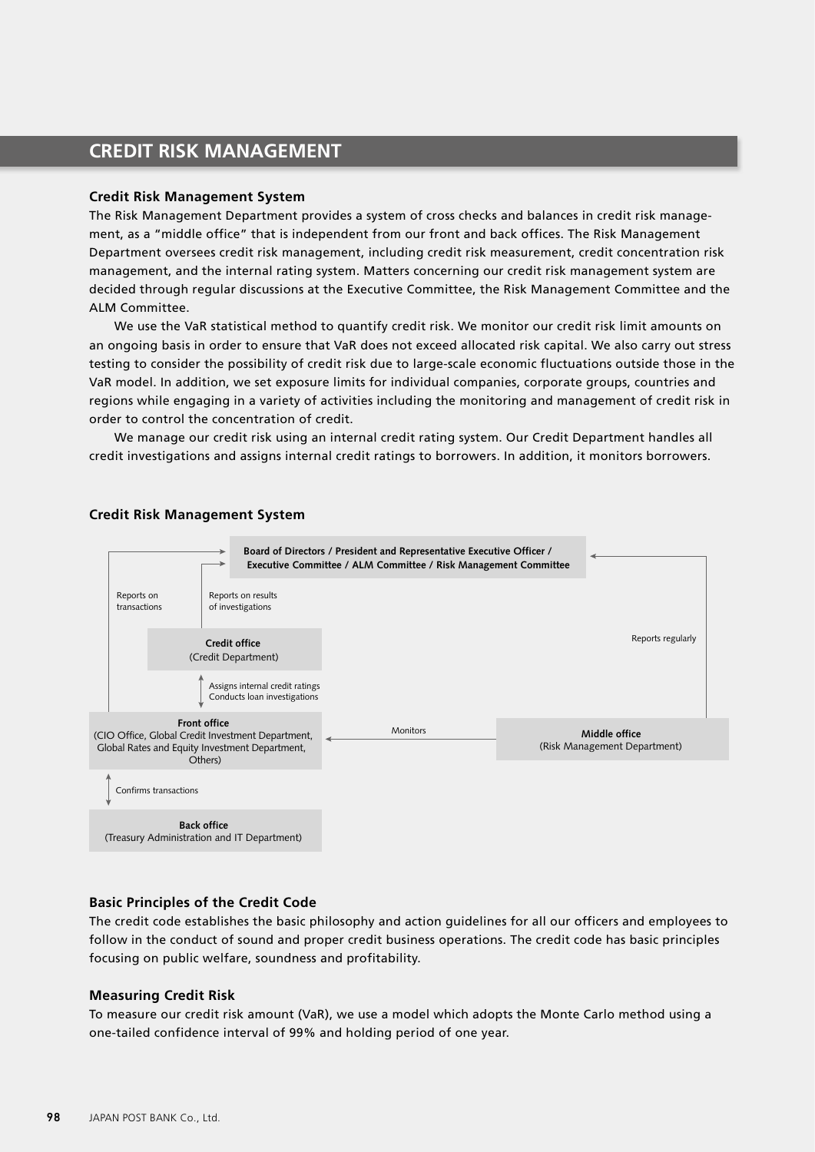# **CREDIT RISK MANAGEMENT**

### **Credit Risk Management System**

The Risk Management Department provides a system of cross checks and balances in credit risk management, as a "middle office" that is independent from our front and back offices. The Risk Management Department oversees credit risk management, including credit risk measurement, credit concentration risk management, and the internal rating system. Matters concerning our credit risk management system are decided through regular discussions at the Executive Committee, the Risk Management Committee and the ALM Committee.

We use the VaR statistical method to quantify credit risk. We monitor our credit risk limit amounts on an ongoing basis in order to ensure that VaR does not exceed allocated risk capital. We also carry out stress testing to consider the possibility of credit risk due to large-scale economic fluctuations outside those in the VaR model. In addition, we set exposure limits for individual companies, corporate groups, countries and regions while engaging in a variety of activities including the monitoring and management of credit risk in order to control the concentration of credit.

We manage our credit risk using an internal credit rating system. Our Credit Department handles all credit investigations and assigns internal credit ratings to borrowers. In addition, it monitors borrowers.



# **Credit Risk Management System**

# **Basic Principles of the Credit Code**

The credit code establishes the basic philosophy and action guidelines for all our officers and employees to follow in the conduct of sound and proper credit business operations. The credit code has basic principles focusing on public welfare, soundness and profitability.

# **Measuring Credit Risk**

To measure our credit risk amount (VaR), we use a model which adopts the Monte Carlo method using a one-tailed confidence interval of 99% and holding period of one year.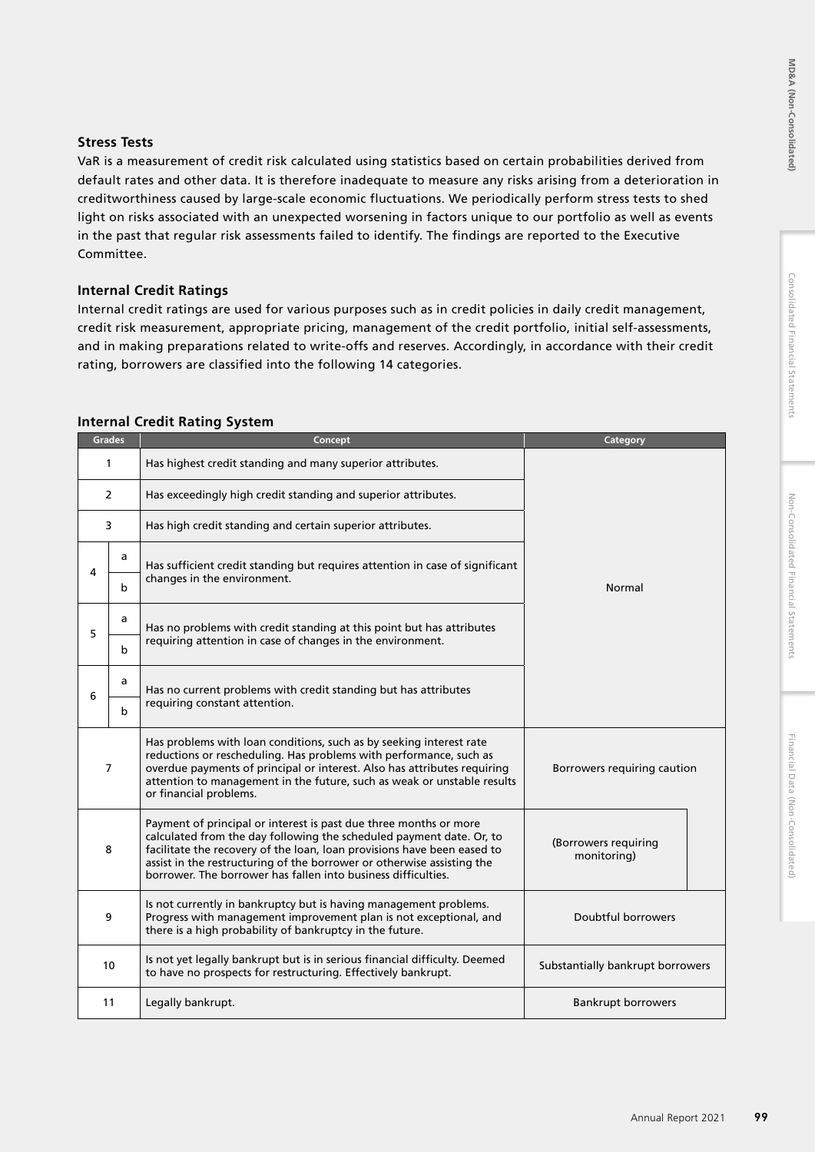# Consolidated Financial Statements

# **Stress Tests**

VaR is a measurement of credit risk calculated using statistics based on certain probabilities derived from default rates and other data. It is therefore inadequate to measure any risks arising from a deterioration in creditworthiness caused by large-scale economic fluctuations. We periodically perform stress tests to shed light on risks associated with an unexpected worsening in factors unique to our portfolio as well as events in the past that regular risk assessments failed to identify. The findings are reported to the Executive Committee.

# **Internal Credit Ratings**

Internal credit ratings are used for various purposes such as in credit policies in daily credit management, credit risk measurement, appropriate pricing, management of the credit portfolio, initial self-assessments, and in making preparations related to write-offs and reserves. Accordingly, in accordance with their credit rating, borrowers are classified into the following 14 categories.

| <b>Grades</b>           |                                                                                                                                                                                                                                                                                                                                                                      | Concept                                                                                                                                                                                            | Category                            |  |
|-------------------------|----------------------------------------------------------------------------------------------------------------------------------------------------------------------------------------------------------------------------------------------------------------------------------------------------------------------------------------------------------------------|----------------------------------------------------------------------------------------------------------------------------------------------------------------------------------------------------|-------------------------------------|--|
|                         | $\mathbf{1}$<br>Has highest credit standing and many superior attributes.                                                                                                                                                                                                                                                                                            |                                                                                                                                                                                                    |                                     |  |
| $\overline{2}$          |                                                                                                                                                                                                                                                                                                                                                                      | Has exceedingly high credit standing and superior attributes.                                                                                                                                      |                                     |  |
| 3                       |                                                                                                                                                                                                                                                                                                                                                                      | Has high credit standing and certain superior attributes.                                                                                                                                          |                                     |  |
| 4                       | a<br>b                                                                                                                                                                                                                                                                                                                                                               | Has sufficient credit standing but requires attention in case of significant<br>changes in the environment.                                                                                        | Normal                              |  |
| 5                       | a<br>Has no problems with credit standing at this point but has attributes<br>requiring attention in case of changes in the environment.<br>b                                                                                                                                                                                                                        |                                                                                                                                                                                                    |                                     |  |
| 6                       | a<br>b                                                                                                                                                                                                                                                                                                                                                               | Has no current problems with credit standing but has attributes<br>requiring constant attention.                                                                                                   |                                     |  |
|                         | Has problems with loan conditions, such as by seeking interest rate<br>reductions or rescheduling. Has problems with performance, such as<br>$\overline{7}$<br>overdue payments of principal or interest. Also has attributes requiring<br>attention to management in the future, such as weak or unstable results<br>or financial problems.                         |                                                                                                                                                                                                    | Borrowers requiring caution         |  |
|                         | Payment of principal or interest is past due three months or more<br>calculated from the day following the scheduled payment date. Or, to<br>facilitate the recovery of the loan, loan provisions have been eased to<br>8<br>assist in the restructuring of the borrower or otherwise assisting the<br>borrower. The borrower has fallen into business difficulties. |                                                                                                                                                                                                    | (Borrowers requiring<br>monitoring) |  |
| 9                       |                                                                                                                                                                                                                                                                                                                                                                      | Is not currently in bankruptcy but is having management problems.<br>Progress with management improvement plan is not exceptional, and<br>there is a high probability of bankruptcy in the future. | Doubtful borrowers                  |  |
| 10                      |                                                                                                                                                                                                                                                                                                                                                                      | Is not yet legally bankrupt but is in serious financial difficulty. Deemed<br>to have no prospects for restructuring. Effectively bankrupt.                                                        | Substantially bankrupt borrowers    |  |
| 11<br>Legally bankrupt. |                                                                                                                                                                                                                                                                                                                                                                      |                                                                                                                                                                                                    | <b>Bankrupt borrowers</b>           |  |

# **Internal Credit Rating System**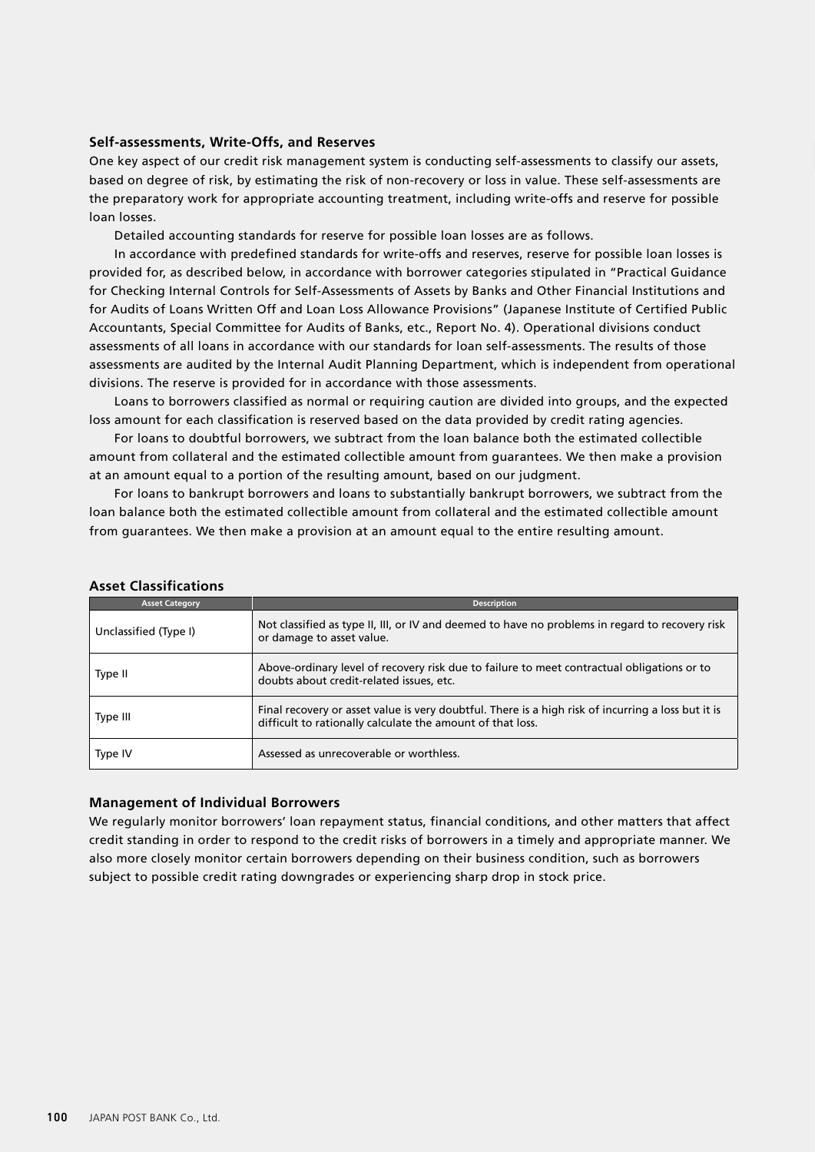### **Self-assessments, Write-Offs, and Reserves**

One key aspect of our credit risk management system is conducting self-assessments to classify our assets, based on degree of risk, by estimating the risk of non-recovery or loss in value. These self-assessments are the preparatory work for appropriate accounting treatment, including write-offs and reserve for possible loan losses.

Detailed accounting standards for reserve for possible loan losses are as follows.

In accordance with predefined standards for write-offs and reserves, reserve for possible loan losses is provided for, as described below, in accordance with borrower categories stipulated in "Practical Guidance for Checking Internal Controls for Self-Assessments of Assets by Banks and Other Financial Institutions and for Audits of Loans Written Off and Loan Loss Allowance Provisions" (Japanese Institute of Certified Public Accountants, Special Committee for Audits of Banks, etc., Report No. 4). Operational divisions conduct assessments of all loans in accordance with our standards for loan self-assessments. The results of those assessments are audited by the Internal Audit Planning Department, which is independent from operational divisions. The reserve is provided for in accordance with those assessments.

Loans to borrowers classified as normal or requiring caution are divided into groups, and the expected loss amount for each classification is reserved based on the data provided by credit rating agencies.

For loans to doubtful borrowers, we subtract from the loan balance both the estimated collectible amount from collateral and the estimated collectible amount from guarantees. We then make a provision at an amount equal to a portion of the resulting amount, based on our judgment.

For loans to bankrupt borrowers and loans to substantially bankrupt borrowers, we subtract from the loan balance both the estimated collectible amount from collateral and the estimated collectible amount from guarantees. We then make a provision at an amount equal to the entire resulting amount.

| <b>Asset Category</b> | <b>Description</b>                                                                                                                                               |
|-----------------------|------------------------------------------------------------------------------------------------------------------------------------------------------------------|
| Unclassified (Type I) | Not classified as type II, III, or IV and deemed to have no problems in regard to recovery risk<br>or damage to asset value.                                     |
| Type II               | Above-ordinary level of recovery risk due to failure to meet contractual obligations or to<br>doubts about credit-related issues, etc.                           |
| Type III              | Final recovery or asset value is very doubtful. There is a high risk of incurring a loss but it is<br>difficult to rationally calculate the amount of that loss. |
| Type IV               | Assessed as unrecoverable or worthless.                                                                                                                          |

# **Asset Classifications**

### **Management of Individual Borrowers**

We regularly monitor borrowers' loan repayment status, financial conditions, and other matters that affect credit standing in order to respond to the credit risks of borrowers in a timely and appropriate manner. We also more closely monitor certain borrowers depending on their business condition, such as borrowers subject to possible credit rating downgrades or experiencing sharp drop in stock price.